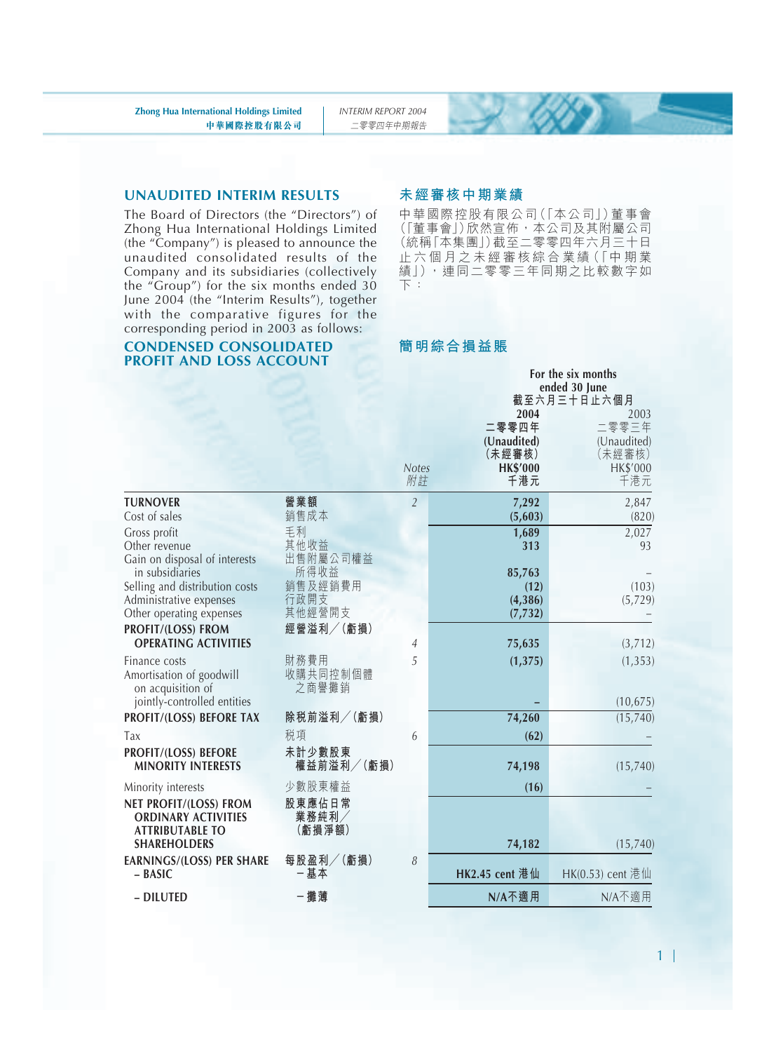#### **UNAUDITED INTERIM RESULTS**

The Board of Directors (the "Directors") of Zhong Hua International Holdings Limited (the "Company") is pleased to announce the unaudited consolidated results of the Company and its subsidiaries (collectively the "Group") for the six months ended 30 June 2004 (the "Interim Results"), together with the comparative figures for the corresponding period in 2003 as follows:

#### **CONDENSED CONSOLIDATED PROFIT AND LOSS ACCOUNT**

#### **未經審核中期業績**

中華國際控股有限公司(「本公司」)董事會 (「董事會」)欣然宣佈,本公司及其附屬公司 (統稱「本集團」)截至二零零四年六月三十日 止 六 個 月 之 未 經 審 核 綜 合 業 績(「中期業 績」),連同二零零三年同期之比較數字如 下:

#### **簡明綜合損益賬**

|                                                                                                       |                                |                    |                                                          |      | For the six months<br>ended 30 June<br>截至六月三十日止六個月               |
|-------------------------------------------------------------------------------------------------------|--------------------------------|--------------------|----------------------------------------------------------|------|------------------------------------------------------------------|
|                                                                                                       |                                | <b>Notes</b><br>附註 | 二零零四年<br>(Unaudited)<br>(未經審核)<br><b>HK\$'000</b><br>千港元 | 2004 | 2003<br>二零零三年<br>(Unaudited)<br>(未經審核)<br><b>HK\$'000</b><br>千港元 |
| <b>TURNOVER</b><br>Cost of sales                                                                      | 營業額<br>銷售成本                    | $\overline{2}$     | 7,292<br>(5,603)                                         |      | 2,847<br>(820)                                                   |
| Gross profit<br>Other revenue<br>Gain on disposal of interests<br>in subsidiaries                     | 毛利<br>其他收益<br>出售附屬公司權益<br>所得收益 |                    | 1,689<br>85,763                                          | 313  | 2,027<br>93                                                      |
| Selling and distribution costs<br>Administrative expenses<br>Other operating expenses                 | 銷售及經銷費用<br>行政開支<br>其他經營開支      |                    | (4,386)<br>(7, 732)                                      | (12) | (103)<br>(5,729)                                                 |
| PROFIT/(LOSS) FROM<br><b>OPERATING ACTIVITIES</b>                                                     | 經營溢利/(虧損)                      | 4                  | 75,635                                                   |      | (3,712)                                                          |
| Finance costs<br>Amortisation of goodwill<br>on acquisition of                                        | 財務費用<br>收購共同控制個體<br>之商譽攤銷      | 5                  | (1, 375)                                                 |      | (1, 353)                                                         |
| jointly-controlled entities<br>PROFIT/(LOSS) BEFORE TAX                                               | 除税前溢利/(虧損)                     |                    | 74,260                                                   |      | (10, 675)<br>(15, 740)                                           |
| Tax                                                                                                   | 税項                             | 6                  |                                                          | (62) |                                                                  |
| PROFIT/(LOSS) BEFORE<br><b>MINORITY INTERESTS</b>                                                     | 未計少數股東<br>權益前溢利/(虧損)           |                    | 74,198                                                   |      | (15,740)                                                         |
| Minority interests                                                                                    | 少數股東權益                         |                    |                                                          | (16) |                                                                  |
| NET PROFIT/(LOSS) FROM<br><b>ORDINARY ACTIVITIES</b><br><b>ATTRIBUTABLE TO</b><br><b>SHAREHOLDERS</b> | 股東應佔日常<br>業務純利/<br>(虧損淨額)      |                    | 74,182                                                   |      | (15, 740)                                                        |
| <b>EARNINGS/(LOSS) PER SHARE</b><br>- BASIC                                                           | 每股盈利/(虧損)<br>一基本               | 8                  | HK2.45 cent 港仙                                           |      | HK(0.53) cent 港仙                                                 |
| - DILUTED                                                                                             | -攤薄                            |                    | N/A不適用                                                   |      | N/A不適用                                                           |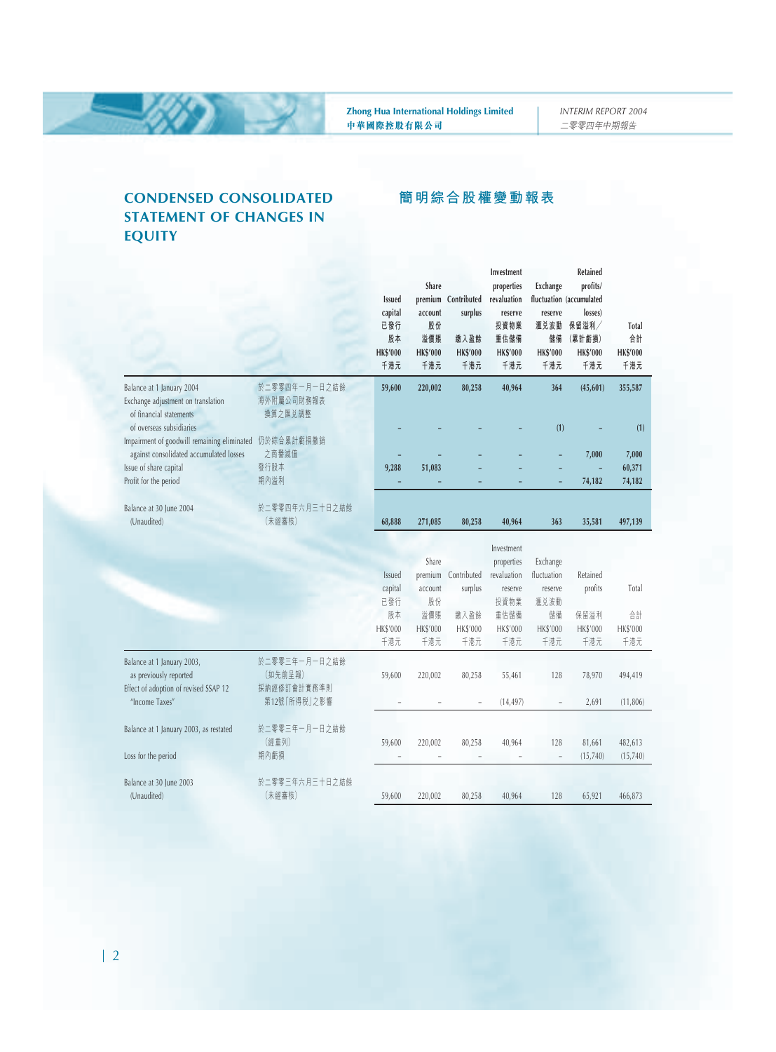**簡明綜合股權變動報表**

#### **CONDENSED CONSOLIDATED STATEMENT OF CHANGES IN EQUITY**

ХУ

|                                                                                               |                                         | <b>Issued</b><br>capital<br>已發行<br>股本<br><b>HK\$'000</b><br>千港元 | Share<br>premium<br>account<br>股份<br>溢價賬<br><b>HK\$'000</b><br>千港元 | Contributed<br>surplus<br>缴入盈餘<br><b>HK\$'000</b><br>千港元 | Investment<br>properties<br>revaluation<br>reserve<br>投資物業<br>重估儲備<br><b>HK\$'000</b><br>千港元 | Exchange<br>reserve<br>滙兑波動<br>儲備<br><b>HK\$'000</b><br>千港元 | Retained<br>profits/<br>fluctuation (accumulated<br>losses)<br>保留溢利/<br>(累計虧損)<br><b>HK\$'000</b><br>千港元 | Total<br>合計<br><b>HK\$'000</b><br>千港元 |
|-----------------------------------------------------------------------------------------------|-----------------------------------------|-----------------------------------------------------------------|--------------------------------------------------------------------|----------------------------------------------------------|----------------------------------------------------------------------------------------------|-------------------------------------------------------------|----------------------------------------------------------------------------------------------------------|---------------------------------------|
| Balance at 1 January 2004<br>Exchange adjustment on translation<br>of financial statements    | 於二零零四年一月一日之結餘<br>海外附屬公司財務報表<br>換算之匯兑調整  | 59,600                                                          | 220,002                                                            | 80,258                                                   | 40,964                                                                                       | 364                                                         | (45, 601)                                                                                                | 355,587                               |
| of overseas subsidiaries<br>Impairment of goodwill remaining eliminated                       | 仍於綜合累計虧損撤銷                              |                                                                 |                                                                    |                                                          |                                                                                              | (1)                                                         |                                                                                                          | (1)                                   |
| against consolidated accumulated losses                                                       | 之商譽減值                                   |                                                                 |                                                                    |                                                          |                                                                                              |                                                             | 7,000                                                                                                    | 7,000                                 |
| Issue of share capital                                                                        | 發行股本                                    | 9,288                                                           | 51,083                                                             |                                                          |                                                                                              |                                                             |                                                                                                          | 60,371                                |
| Profit for the period                                                                         | 期內溢利                                    |                                                                 |                                                                    |                                                          |                                                                                              |                                                             | 74,182                                                                                                   | 74,182                                |
| Balance at 30 June 2004                                                                       | 於二零零四年六月三十日之結餘                          |                                                                 |                                                                    |                                                          |                                                                                              |                                                             |                                                                                                          |                                       |
| (Unaudited)                                                                                   | (未經審核)                                  | 68,888                                                          | 271,085                                                            | 80,258                                                   | 40,964                                                                                       | 363                                                         | 35,581                                                                                                   | 497,139                               |
|                                                                                               |                                         | Issued<br>capital<br>已發行                                        | Share<br>premium<br>account<br>股份                                  | Contributed<br>surplus                                   | Investment<br>properties<br>revaluation<br>reserve<br>投資物業                                   | Exchange<br>fluctuation<br>reserve<br>滙兑波動                  | Retained<br>profits                                                                                      | Total                                 |
|                                                                                               |                                         | 股本                                                              | 溢價賬                                                                | 缴入盈餘                                                     | 重估儲備                                                                                         | 儲備                                                          | 保留溢利                                                                                                     | 合計                                    |
|                                                                                               |                                         | HK\$'000                                                        | <b>HK\$'000</b>                                                    | <b>HK\$'000</b>                                          | HK\$'000                                                                                     | <b>HK\$'000</b>                                             | <b>HK\$'000</b>                                                                                          | HK\$'000                              |
|                                                                                               |                                         | 千港元                                                             | 千港元                                                                | 千港元                                                      | 千港元                                                                                          | 千港元                                                         | 千港元                                                                                                      | 千港元                                   |
| Balance at 1 January 2003,<br>as previously reported<br>Effect of adoption of revised SSAP 12 | 於二零零三年一月一日之結餘<br>(如先前呈報)<br>採納經修訂會計實務準則 | 59,600                                                          | 220,002                                                            | 80,258                                                   | 55,461                                                                                       | 128                                                         | 78,970                                                                                                   | 494,419                               |
| "Income Taxes"                                                                                | 第12號「所得税」之影響                            |                                                                 |                                                                    |                                                          | (14, 497)                                                                                    |                                                             | 2,691                                                                                                    | (11, 806)                             |
| Balance at 1 January 2003, as restated<br>Loss for the period                                 | 於二零零三年一月一日之結餘<br>(經重列)<br>期內虧損          | 59,600                                                          | 220,002                                                            | 80,258<br>÷,                                             | 40,964                                                                                       | 128<br>$\hspace{1.0cm} - \hspace{1.0cm}$                    | 81,661<br>(15, 740)                                                                                      | 482,613<br>(15, 740)                  |
| Balance at 30 June 2003                                                                       | 於二零零三年六月三十日之結餘                          |                                                                 |                                                                    |                                                          |                                                                                              |                                                             |                                                                                                          |                                       |
| (Unaudited)                                                                                   | (未經審核)                                  | 59,600                                                          | 220,002                                                            | 80,258                                                   | 40,964                                                                                       | 128                                                         | 65,921                                                                                                   | 466,873                               |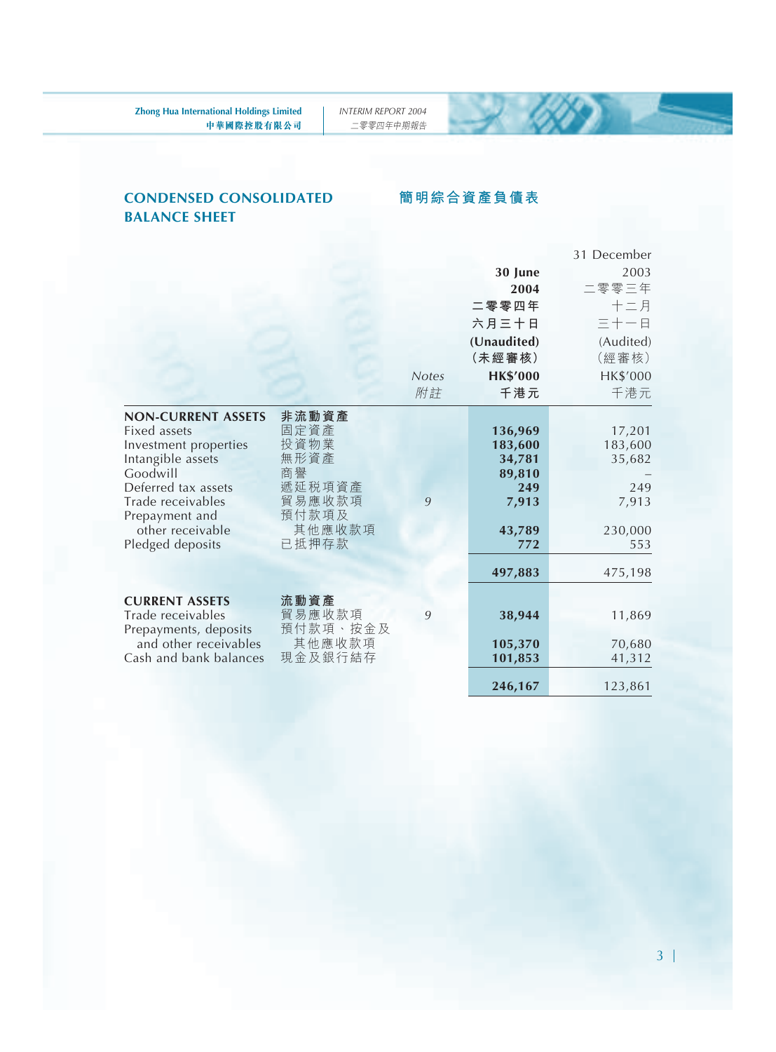**簡明綜合資產負債表**

#### **CONDENSED CONSOLIDATED BALANCE SHEET**

#### 31 December **30 June** 2003 **2004** 二零零三年 **二零零四年** 十二月 **六月三十日** 三十一日 **(Unaudited)** (Audited) **(未經審核)** (經審核) *Notes* **HK\$'000** HK\$'000 附註 **千港元** 千港元 **NON-CURRENT ASSETS 非流動資產** Fixed assets 固定資產 **136,969** 17,201 Investment properties 投資物業 **183,600** 183,600<br>Intangible assets 無形資產 **34,781** 35,682 **Intangible assets** 無形<br>Goodwill 35,682 Goodwill 商譽 **89,810** – Deferred tax assets 遞延稅項資產 **249** 249 Trade receivables 貿易應收款<br>Prepayment and 預付款項及 Prepayment and <br>
other receivable 其他應收款項 other receivable 其他應收款項 **43,789** 230,000<br>edged deposits 已抵押存款 772 553 Pledged deposits **497,883** 475,198 **CURRENT ASSETS** 流動資產<br>Trade receivables 貿易應收款項 Trade receivables 貿易應收款項 *9* **38,944** 11,869 Prepayments, deposits 預付款項、按金<br>and other receivables 其他應收款項 and other receivables 其他應收款項 **105,370** 70,680<br>ash and bank balances 現金及銀行結存 **101,853** 41,312 Cash and bank balances

#### 3

**246,167** 123,861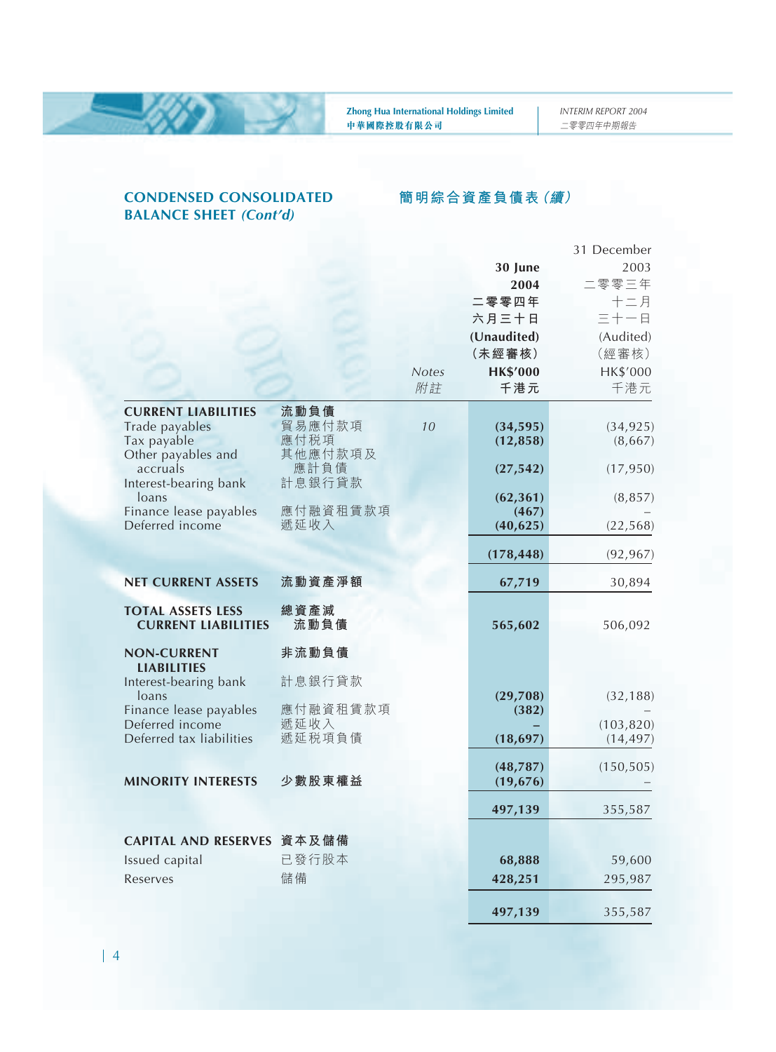#### **CONDENSED CONSOLIDATED BALANCE SHEET** *(Cont'd)*

#### **簡明綜合資產負債表(續)**

|                                           |                  |              |                    | 31 December |
|-------------------------------------------|------------------|--------------|--------------------|-------------|
|                                           |                  |              | 30 June            | 2003        |
|                                           |                  |              | 2004               | 二零零三年       |
|                                           |                  |              | 二零零四年              | $+ = 4$     |
|                                           |                  |              | 六月三十日              | 三十一日        |
|                                           |                  |              | (Unaudited)        | (Audited)   |
|                                           |                  |              | (未經審核)             | (經審核)       |
|                                           |                  | <b>Notes</b> | <b>HK\$'000</b>    | HK\$'000    |
|                                           |                  | 附註           | 千港元                | 千港元         |
| <b>CURRENT LIABILITIES</b>                | 流動負債             |              |                    |             |
| Trade payables                            | 貿易應付款項           | 10           | (34, 595)          | (34, 925)   |
| Tax payable                               | 應付税項             |              | (12, 858)          | (8,667)     |
| Other payables and                        | 其他應付款項及          |              |                    |             |
| accruals                                  | 應計負債             |              | (27, 542)          | (17, 950)   |
| Interest-bearing bank                     | 計息銀行貸款           |              |                    |             |
| loans<br>Finance lease payables           | 應付融資租賃款項         |              | (62, 361)<br>(467) | (8, 857)    |
| Deferred income                           | 遞延收入             |              | (40, 625)          | (22, 568)   |
|                                           |                  |              |                    |             |
|                                           |                  |              | (178, 448)         | (92, 967)   |
| <b>NET CURRENT ASSETS</b>                 | 流動資產淨額           |              | 67,719             | 30,894      |
|                                           |                  |              |                    |             |
| <b>TOTAL ASSETS LESS</b>                  | 總資產減             |              |                    |             |
| <b>CURRENT LIABILITIES</b>                | 流動負債             |              | 565,602            | 506,092     |
| <b>NON-CURRENT</b>                        | 非流動負債            |              |                    |             |
| <b>LIABILITIES</b>                        |                  |              |                    |             |
| Interest-bearing bank                     | 計息銀行貸款           |              |                    |             |
| loans                                     |                  |              | (29,708)           | (32, 188)   |
| Finance lease payables<br>Deferred income | 應付融資租賃款項<br>遞延收入 |              | (382)              | (103, 820)  |
| Deferred tax liabilities                  | 遞延税項負債           |              | (18, 697)          | (14, 497)   |
|                                           |                  |              |                    |             |
|                                           |                  |              | (48, 787)          | (150, 505)  |
| <b>MINORITY INTERESTS</b>                 | 少數股東權益           |              | (19, 676)          |             |
|                                           |                  |              | 497,139            | 355,587     |
|                                           |                  |              |                    |             |
| CAPITAL AND RESERVES 資本及儲備                |                  |              |                    |             |
| Issued capital                            | 已發行股本            |              | 68,888             | 59,600      |
| Reserves                                  | 儲備               |              | 428,251            | 295,987     |
|                                           |                  |              |                    |             |
|                                           |                  |              | 497,139            | 355,587     |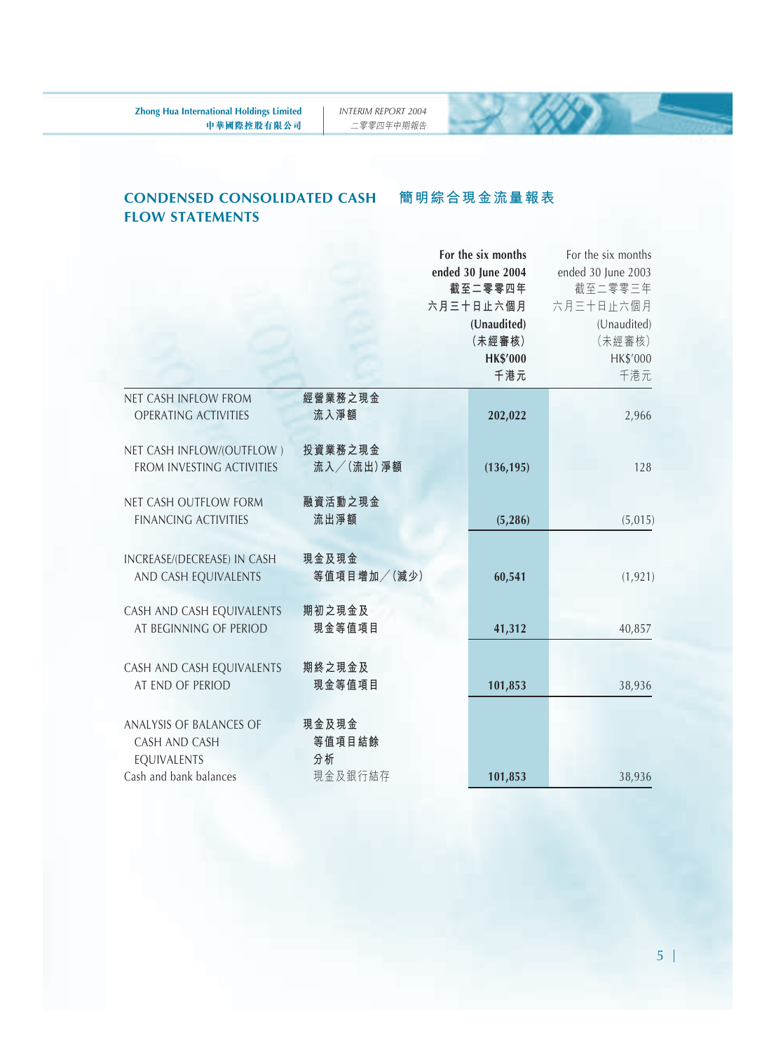**簡明綜合現金流量報表**

#### **CONDENSED CONSOLIDATED CASH FLOW STATEMENTS**

### **For the six months** For the six months **ended 30 June 2004** ended 30 June 2003 **截至二零零四年** 截至二零零三年 **六月三十日止六個月** 六月三十日止六個月 **(Unaudited)** (Unaudited) **(未經審核)** (未經審核) **HK\$'000** HK\$'000 **千港元** 千港元 NET CASH INFLOW FROM **經營業務之現金** OPERATING ACTIVITIES **流入淨額 202,022** 2,966 NET CASH INFLOW/(OUTFLOW ) **投資業務之現金** FROM INVESTING ACTIVITIES **流入/(流出)淨額 (136,195)** 128 NET CASH OUTFLOW FORM **融資活動之現金** FINANCING ACTIVITIES **流出淨額 (5,286)** (5,015) INCREASE/(DECREASE) IN CASH **現金及現金** AND CASH EQUIVALENTS **等值項目增加/(減少) 60,541** (1,921) CASH AND CASH EQUIVALENTS **期初之現金及** AT BEGINNING OF PERIOD **現金等值項目 41,312** 40,857 CASH AND CASH EQUIVALENTS **期終之現金及** AT END OF PERIOD **現金等值項目 101,853** 38,936 ANALYSIS OF BALANCES OF **現金及現金** CASH AND CASH **等值項目結餘** EQUIVALENTS **分析** Cash and bank balances 現金及銀行結存 **101,853** 38,936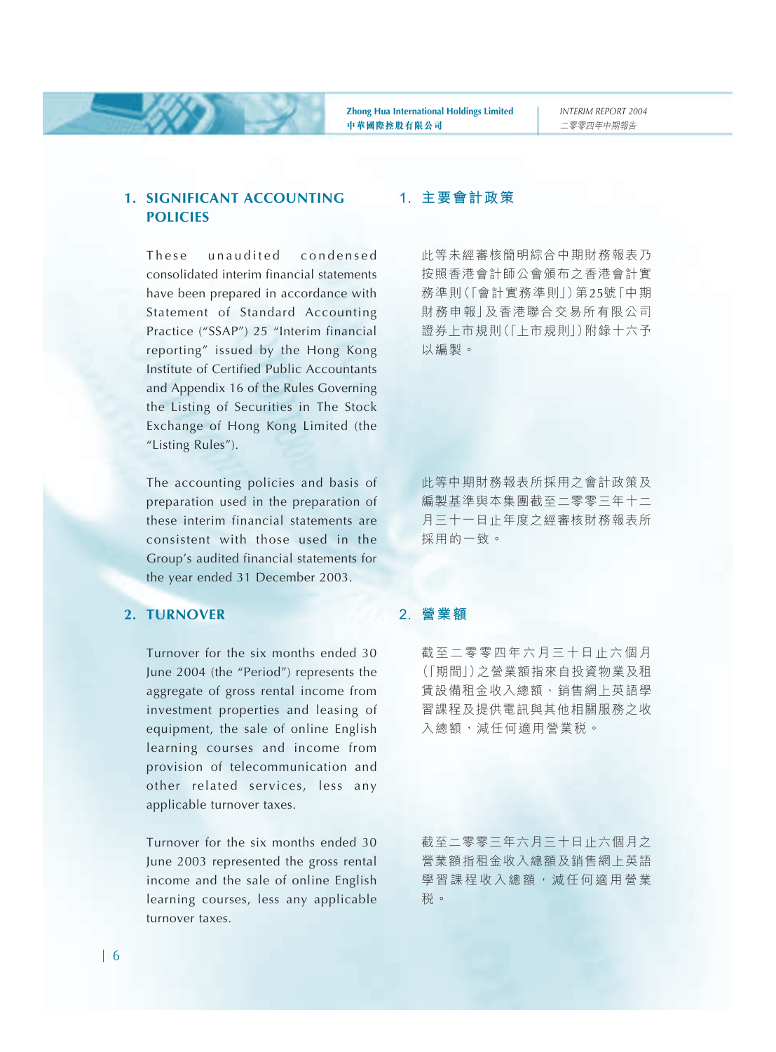#### **1. SIGNIFICANT ACCOUNTING POLICIES**

These unaudited condensed consolidated interim financial statements have been prepared in accordance with Statement of Standard Accounting Practice ("SSAP") 25 "Interim financial reporting" issued by the Hong Kong Institute of Certified Public Accountants and Appendix 16 of the Rules Governing the Listing of Securities in The Stock Exchange of Hong Kong Limited (the "Listing Rules").

The accounting policies and basis of preparation used in the preparation of these interim financial statements are consistent with those used in the Group's audited financial statements for the year ended 31 December 2003.

#### **2. TURNOVER**

Turnover for the six months ended 30 June 2004 (the "Period") represents the aggregate of gross rental income from investment properties and leasing of equipment, the sale of online English learning courses and income from provision of telecommunication and other related services, less any applicable turnover taxes.

Turnover for the six months ended 30 June 2003 represented the gross rental income and the sale of online English learning courses, less any applicable turnover taxes.

#### **1. 主要會計政策**

此等未經審核簡明綜合中期財務報表乃 按照香港會計師公會頒布之香港會計實 務準則(「會計實務準則」)第25號「中期 財務申報」及香港聯合交易所有限公司 證券上市規則(「上市規則」)附錄十六予 以編製。

此等中期財務報表所採用之會計政策及 編製基準與本集團截至二零零三年十二 月三十一日止年度之經審核財務報表所 採用的一致。

#### **2. 營業額**

截至二零零四年六月三十日止六個月 (「期間」)之營業額指來自投資物業及租 賃設備租金收入總額、銷售網上英語學 習課程及提供電訊與其他相關服務之收 入總額,減任何適用營業税。

截至二零零三年六月三十日止六個月之 營業額指租金收入總額及銷售網上英語 學習課程收入總額,減任何適用營業 稅。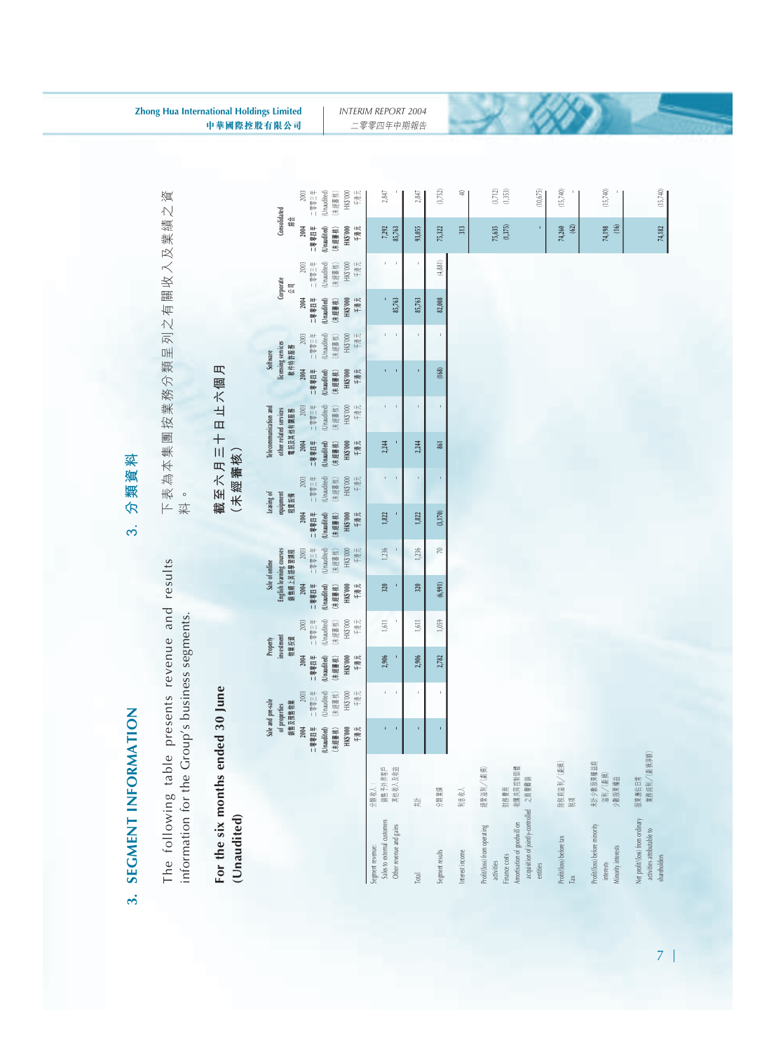# 3. SEGMENT INFORMATION **3. SEGMENT INFORMATION**

The following table presents revenue and results The following table presents revenue and results information for the Group's business segments. information for the Group's business segments.

# For the six months ended 30 June **For the six months ended 30 June**

(Unaudited) **(Unaudited)**

| 莖 |
|---|
| 殈 |
| 撇 |
| R |
| ო |

下表為本集團按業務分類呈列之有關收入及業績之資 下表為本集團按業務分類呈列之有關收入及業績之資<br>料。

## 截至六月三十日止六個月 **截至不月二十日上六個月**

(未經審核) **(未經審核)** **Sale and pre-sale Property Sale of online Leasing of Telecommunication and Software**

Sale of online

Property

Sale and pre-sale

Leasing of

Software

Telecommunication and

|                                                                               |                                |                       | 銷售及預售物業<br>of properties |                       | investment<br>物業投資  |                      | English learning courses<br>銷售網上英語學習課程 |                       | equipment<br>租賃設備    |                     | other related services<br>電訊及其他有關服務 |                       | licensing services<br>軟件特許服務 |                       | Corporate<br>公司       | Consolidated<br>綜   |                    |
|-------------------------------------------------------------------------------|--------------------------------|-----------------------|--------------------------|-----------------------|---------------------|----------------------|----------------------------------------|-----------------------|----------------------|---------------------|-------------------------------------|-----------------------|------------------------------|-----------------------|-----------------------|---------------------|--------------------|
|                                                                               |                                | 2004<br>三零零四年         | 一零零三年<br>2003            | 2004<br>三零四年          | 一零零三年<br>$2003$     | 主管参加工<br>2004        | 一零零三年<br>2003                          | 二零四零三年<br>2004        | 一零零三年<br>2003        | 2004<br>二零零四年       | 丰富参与<br>2003                        | 2004<br>三零零四年         | 一等零一年<br>2003                | 三零零四年<br>2004         | 二零零三年<br>2003         | 2004<br>二零零四年       | 一等三字一<br>2003      |
|                                                                               |                                | (Unaudited)<br>(未經書核) | (Unaudited)<br>(末短審核)    | (Unaudited)<br>(未經書核) | Unaudited<br>末翅 審核) | Unaudited)<br>(未經書核) | Unaudited<br>末短 審核)                    | (Unaudited)<br>(未經審核) | (Unaudited)<br>末短審核) | Unaudited<br>(未經審核) | Unaudited<br>末翅書核)                  | (Unaudited)<br>(未經審核) | (Unaudied)<br>末翅番核)          | (Unaudited)<br>(未经警核) | (Unaudited)<br>(末翅番核) | Unaudited<br>(未經書核) | Unaudited<br>末超審核) |
|                                                                               |                                | HK\$'000<br>千港元       | 千港元<br>HK\$'000          | HK\$'000<br>千港元       | 千港元<br>HK\$'000     | 千港元<br>HK\$'000      | 千港元<br>HK\$'000                        | HK\$'000<br>千港元       | 千港元<br>HK\$'000      | HK\$'000<br>千港元     | 千港元<br>HK\$'000                     | 千港元<br>HK\$'000       | 千港元<br>HK\$'000              | HK\$'000<br>千港元       | 千港元<br>HK\$'000       | HK\$'000<br>千港元     | 千港元<br>HK\$'000    |
| Sales to external customers<br>Segment revenue:                               | 銷售予外界客戶<br>分類收入:               | ı                     |                          | 2,906                 | 1,611               | 320                  | 1,236                                  | 1,822                 | ı                    | 2,244               |                                     |                       |                              |                       | ï                     | 7,292               | 2,847              |
| Other revenue and gains                                                       | 其他收入及收益                        | ı                     |                          | ï                     | f,                  | ï                    |                                        |                       | Î,                   |                     |                                     | ı                     |                              | 85,763                | í.                    | 85,763              |                    |
| Total                                                                         | 共有                             | ı                     |                          | 2,906                 | 1,611               | 320                  | 1,236                                  | 1,822                 | ı                    | 2,244               | ï                                   | i                     |                              | 85,763                | í,                    | 93,055              | 2,847              |
| Segment results                                                               | 分類業績                           | í                     | ï                        | 2,782                 | 1.059               | (6,991)              | R                                      | (3,170)               | ï                    | 581                 | ï                                   | (168)                 |                              | 82,008                | (4, 881)              | 75,322              | (3,752)            |
| Interest income                                                               | 利息收入                           |                       |                          |                       |                     |                      |                                        |                       |                      |                     |                                     |                       |                              |                       |                       | 313                 | Ξ                  |
| Profit/(loss) from operating<br>activities                                    | 經營溢利/(虧損)                      |                       |                          |                       |                     |                      |                                        |                       |                      |                     |                                     |                       |                              |                       |                       | 75,635              | (3, 712)           |
| Amortisation of goodwill on<br>Finance costs                                  | 收購共同控制個體<br>財務費用               |                       |                          |                       |                     |                      |                                        |                       |                      |                     |                                     |                       |                              |                       |                       | (1,375)             | (1,333)            |
| acquisition of jointly-controlled 之首譽義翁<br>entities                           |                                |                       |                          |                       |                     |                      |                                        |                       |                      |                     |                                     |                       |                              |                       |                       | ł                   | (10, 675)          |
| Profit/(loss) before tax<br>Tax                                               | 除視前溢利/[虧損]<br>视顶               |                       |                          |                       |                     |                      |                                        |                       |                      |                     |                                     |                       |                              |                       |                       | 74,260<br>@         | (15,740)           |
| Profit/(loss) before minority<br>Minority interests<br>interests              | 末計少數股東權益前<br>溢利/(虧損)<br>少數股東權益 |                       |                          |                       |                     |                      |                                        |                       |                      |                     |                                     |                       |                              |                       |                       | 冟<br>74,198         | (15,740)           |
| Net profit/(loss) from ordinary<br>activities attributable to<br>shareholders | 業務純利/(虧損淨額)<br>股東應佔日常          |                       |                          |                       |                     |                      |                                        |                       |                      |                     |                                     |                       |                              |                       |                       | 74,182              | (15, 740)          |

*INTERIM REPORT 2004* 二零零四年中期報告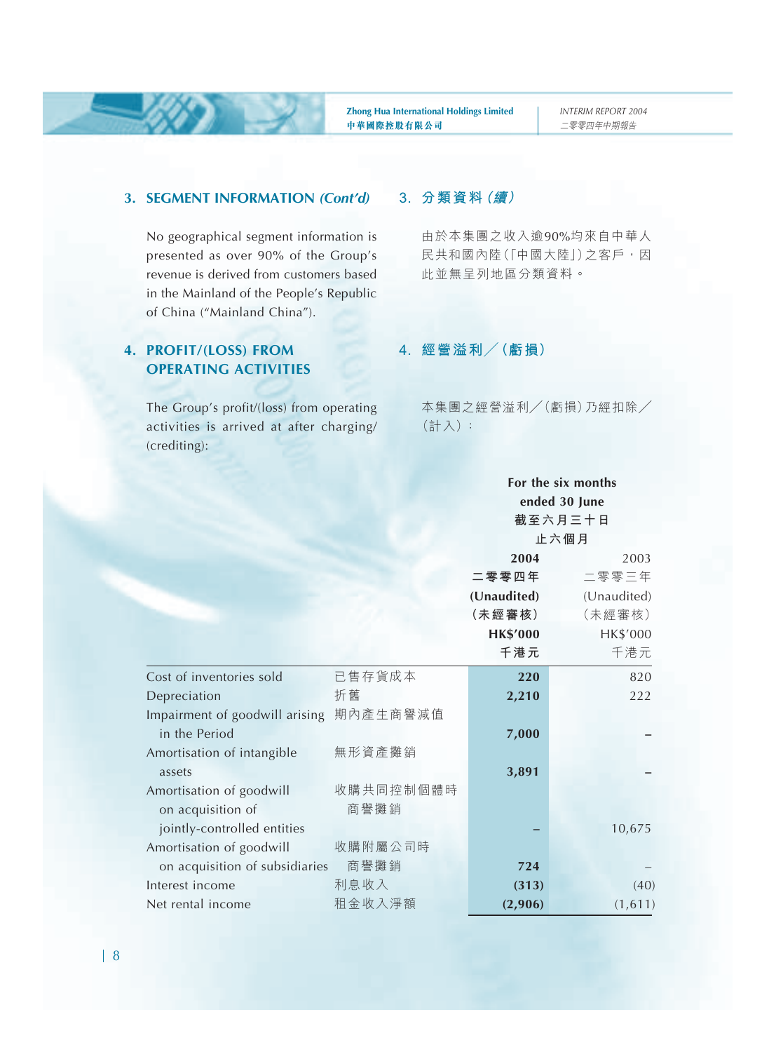#### **3. SEGMENT INFORMATION** *(Cont'd)*

No geographical segment information is presented as over 90% of the Group's revenue is derived from customers based in the Mainland of the People's Republic of China ("Mainland China").

#### **4. PROFIT/(LOSS) FROM OPERATING ACTIVITIES**

The Group's profit/(loss) from operating activities is arrived at after charging/ (crediting):

#### **3. 分類資料(續)**

由於本集團之收入逾90%均來自中華人 民共和國內陸(「中國大陸」)之客戶,因 此並無呈列地區分類資料。

#### **4. 經營溢利/(虧損)**

本集團之經營溢利/(虧損)乃經扣除/ (計入):

**For the six months**

|                                |           |                 | ended 30 June |
|--------------------------------|-----------|-----------------|---------------|
|                                |           |                 | 截至六月三十日       |
|                                |           |                 | 止六個月          |
|                                |           |                 |               |
|                                |           | 2004            | 2003          |
|                                |           | 二零零四年           | 二零零三年         |
|                                |           | (Unaudited)     | (Unaudited)   |
|                                |           | (未經審核)          | (未經審核)        |
|                                |           | <b>HK\$'000</b> | HK\$'000      |
|                                |           | 千港元             | 千港元           |
| Cost of inventories sold       | 已售存貨成本    | 220             | 820           |
| Depreciation                   | 折舊        | 2,210           | 222           |
| Impairment of goodwill arising | 期內產生商譽減值  |                 |               |
| in the Period                  |           | 7,000           |               |
| Amortisation of intangible     | 無形資產攤銷    |                 |               |
| assets                         |           | 3,891           |               |
| Amortisation of goodwill       | 收購共同控制個體時 |                 |               |
| on acquisition of              | 商譽攤銷      |                 |               |
| jointly-controlled entities    |           |                 | 10,675        |
| Amortisation of goodwill       | 收購附屬公司時   |                 |               |
| on acquisition of subsidiaries | 商譽攤銷      | 724             |               |
| Interest income                | 利息收入      | (313)           | (40)          |
| Net rental income              | 租金收入淨額    | (2,906)         | (1,611)       |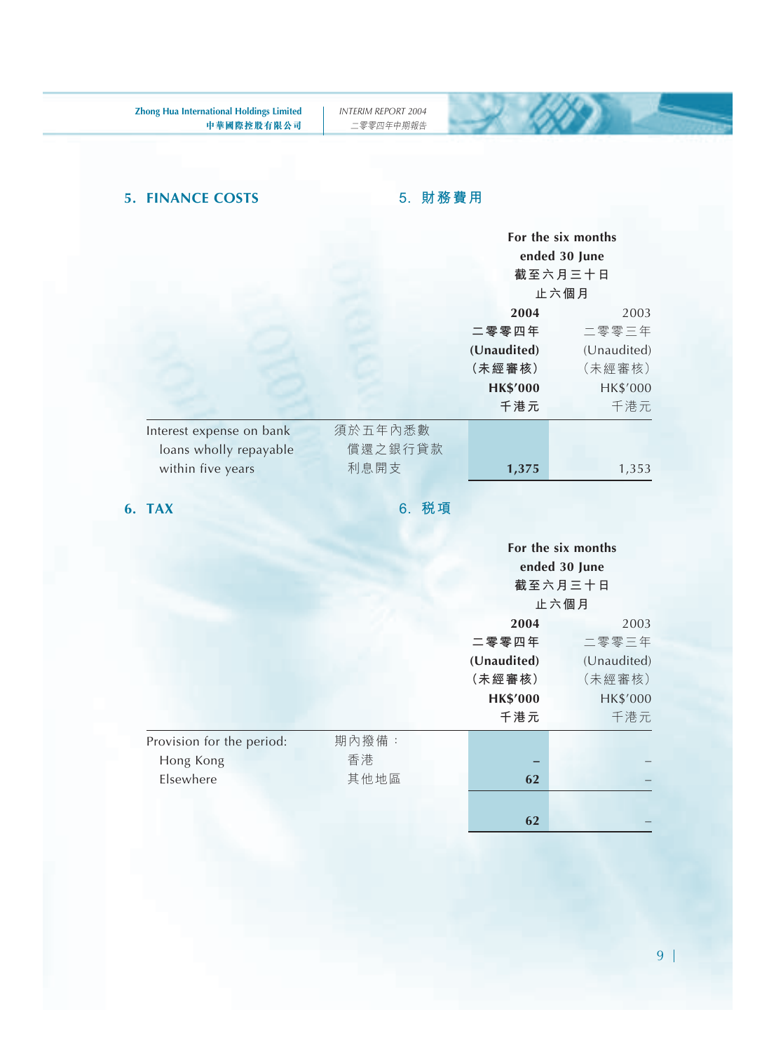### **5. FINANCE COSTS 5. 財務費用**

 $\sim 600$ 

|                                     | For the six months<br>ended 30 June<br>截至六月三十日<br>止六個月 |
|-------------------------------------|--------------------------------------------------------|
|                                     | 2004<br>2003                                           |
|                                     | 二零零三年<br>二零零四年                                         |
|                                     | (Unaudited)<br>(Unaudited)                             |
|                                     | (未經審核)<br>(未經審核)                                       |
|                                     | <b>HK\$'000</b><br>HK\$'000                            |
|                                     | 千港元<br>千港元                                             |
| 須於五年內悉數<br>Interest expense on bank |                                                        |
| loans wholly repayable              | 償還之銀行貸款                                                |
| 利息開支<br>within five years           | 1,375<br>1,353                                         |

**6. TAX 6. 稅項**

|                           |       | For the six months |             |
|---------------------------|-------|--------------------|-------------|
|                           |       | ended 30 June      |             |
|                           |       | 截至六月三十日            |             |
|                           |       | 止六個月               |             |
|                           |       | 2004               | 2003        |
|                           |       | 二零零四年              | 二零零三年       |
|                           |       | (Unaudited)        | (Unaudited) |
|                           |       | (未經審核)             | (未經審核)      |
|                           |       | <b>HK\$'000</b>    | HK\$'000    |
|                           |       | 千港元                | 千港元         |
| Provision for the period: | 期內撥備: |                    |             |
| Hong Kong                 | 香港    |                    |             |
| Elsewhere                 | 其他地區  | 62                 |             |
|                           |       |                    |             |
|                           |       | 62                 |             |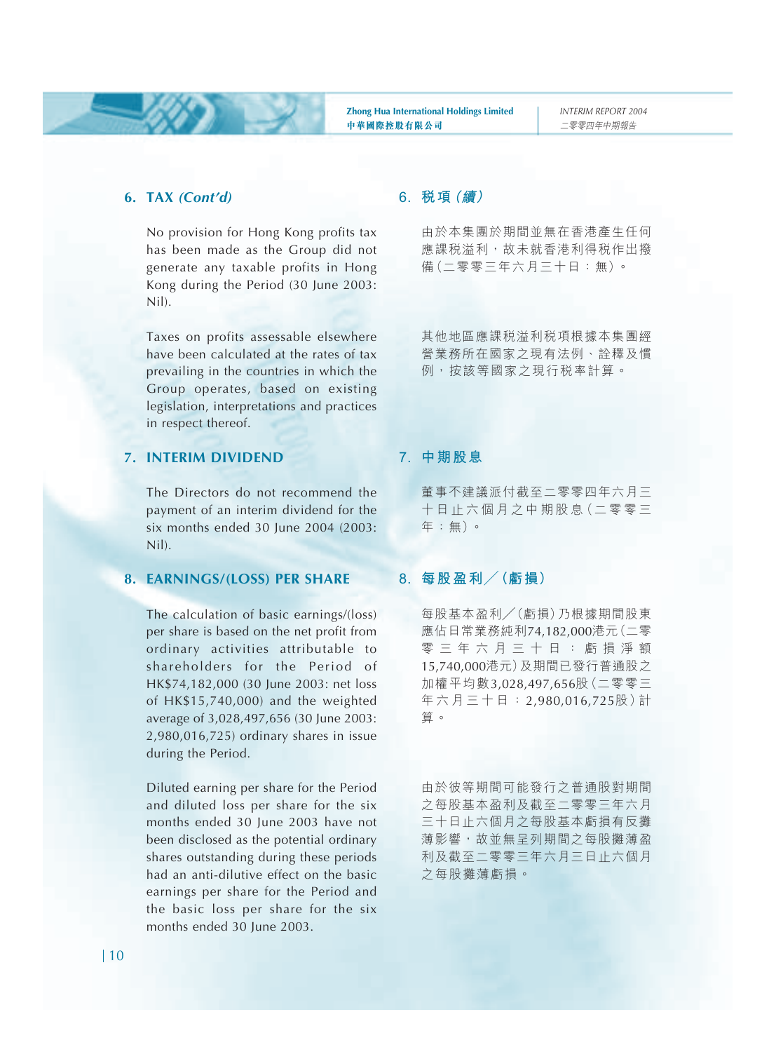#### **6. TAX** *(Cont'd)*

No provision for Hong Kong profits tax has been made as the Group did not generate any taxable profits in Hong Kong during the Period (30 June 2003: Nil).

Taxes on profits assessable elsewhere have been calculated at the rates of tax prevailing in the countries in which the Group operates, based on existing legislation, interpretations and practices in respect thereof.

#### **7. INTERIM DIVIDEND**

The Directors do not recommend the payment of an interim dividend for the six months ended 30 June 2004 (2003: Nil).

#### **8. EARNINGS/(LOSS) PER SHARE**

The calculation of basic earnings/(loss) per share is based on the net profit from ordinary activities attributable to shareholders for the Period of HK\$74,182,000 (30 June 2003: net loss of HK\$15,740,000) and the weighted average of 3,028,497,656 (30 June 2003: 2,980,016,725) ordinary shares in issue during the Period.

Diluted earning per share for the Period and diluted loss per share for the six months ended 30 June 2003 have not been disclosed as the potential ordinary shares outstanding during these periods had an anti-dilutive effect on the basic earnings per share for the Period and the basic loss per share for the six months ended 30 June 2003.

#### **6. 稅項(續)**

由於本集團於期間並無在香港產生任何 應課税溢利,故未就香港利得税作出撥 備(二零零三年六月三十日:無)。

其他地區應課稅溢利稅項根據本集團經 營業務所在國家之現有法例、詮釋及慣 例,按該等國家之現行稅率計算。

#### **7. 中期股息**

董事不建議派付截至二零零四年六月三 十 日 止 六 個 月 之 中 期 股 息(二 零 零 三 年:無)。

#### **8. 每股盈利/(虧損)**

每股基本盈利/(虧損)乃根據期間股東 應佔日常業務純利74,182,000港元(二零 零三年六月三十日:虧損淨額 15,740,000港元)及期間已發行普通股之 加權平均數3,028,497,656股(二零零三 年六月三十日: 2,980,016,725股)計 算。

由於彼等期間可能發行之普通股對期間 之每股基本盈利及截至二零零三年六月 三十日止六個月之每股基本虧損有反攤 薄影響,故並無呈列期間之每股攤薄盈 利及截至二零零三年六月三日止六個月 之每股攤薄虧損。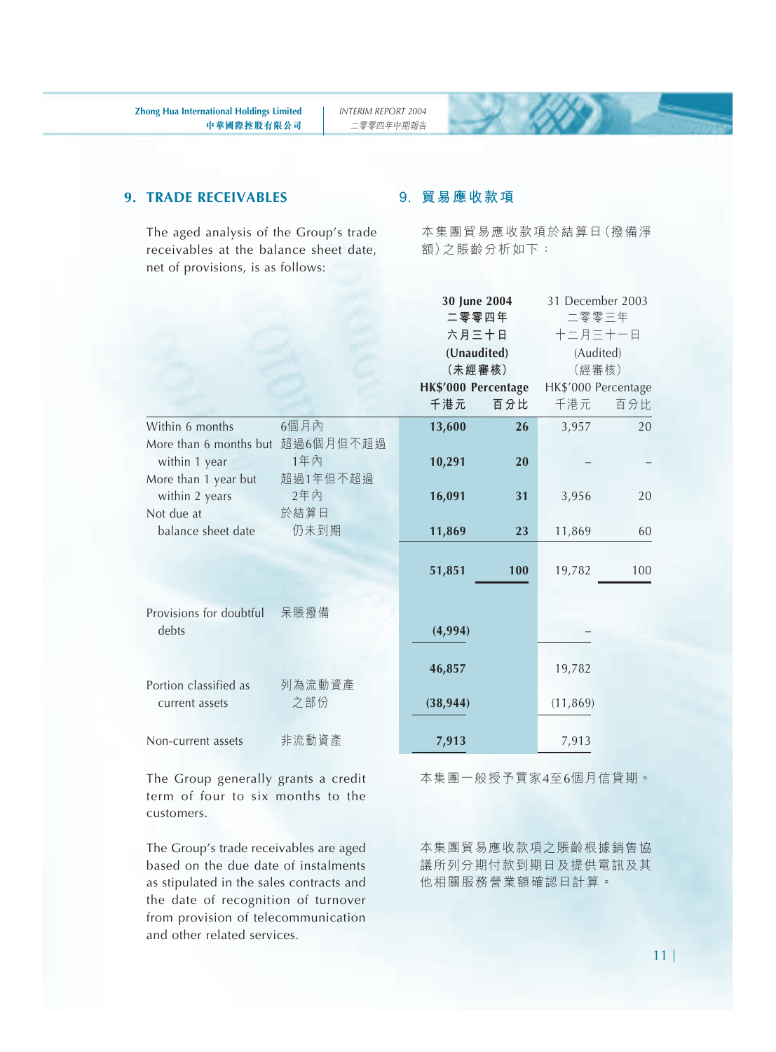#### **9. TRADE RECEIVABLES**

The aged analysis of the Group's trade receivables at the balance sheet date, net of provisions, is as follows:

#### **9. 貿易應收款項**

本集團貿易應收款項於結算日(撥備淨 額)之賬齡分析如下:

|                                                                           |                 |                            | 30 June 2004<br>二零零四年<br>六月三十日<br>(Unaudited)<br>(未經審核) | 31 December 2003<br>二零零三年<br>十二月三十一日<br>(Audited)<br>(經審核) |     |
|---------------------------------------------------------------------------|-----------------|----------------------------|---------------------------------------------------------|------------------------------------------------------------|-----|
|                                                                           |                 | HK\$'000 Percentage<br>千港元 | 百分比                                                     | HK\$'000 Percentage<br>千港元                                 | 百分比 |
| Within 6 months                                                           | 6個月內            | 13,600                     | 26                                                      | 3,957                                                      | 20  |
| More than 6 months but 超過6個月但不超過<br>within 1 year<br>More than 1 year but | 1年內<br>超過1年但不超過 | 10,291                     | 20                                                      |                                                            |     |
| within 2 years                                                            | 2年內             | 16,091                     | 31                                                      | 3,956                                                      | 20  |
| Not due at<br>balance sheet date                                          | 於結算日<br>仍未到期    | 11,869                     | 23                                                      | 11,869                                                     | 60  |
|                                                                           |                 | 51,851                     | 100                                                     | 19,782                                                     | 100 |
| Provisions for doubtful<br>debts                                          | 呆賬撥備            | (4,994)                    |                                                         |                                                            |     |
|                                                                           |                 | 46,857                     |                                                         | 19,782                                                     |     |
| Portion classified as<br>current assets                                   | 列為流動資產<br>之部份   | (38, 944)                  |                                                         | (11, 869)                                                  |     |
| Non-current assets                                                        | 非流動資產           | 7,913                      |                                                         | 7,913                                                      |     |

The Group generally grants a credit term of four to six months to the customers.

The Group's trade receivables are aged based on the due date of instalments as stipulated in the sales contracts and the date of recognition of turnover from provision of telecommunication and other related services.

本集團一般授予買家4至6個月信貸期。

本集團貿易應收款項之賬齡根據銷售協 議所列分期付款到期日及提供電訊及其 他相關服務營業額確認日計算。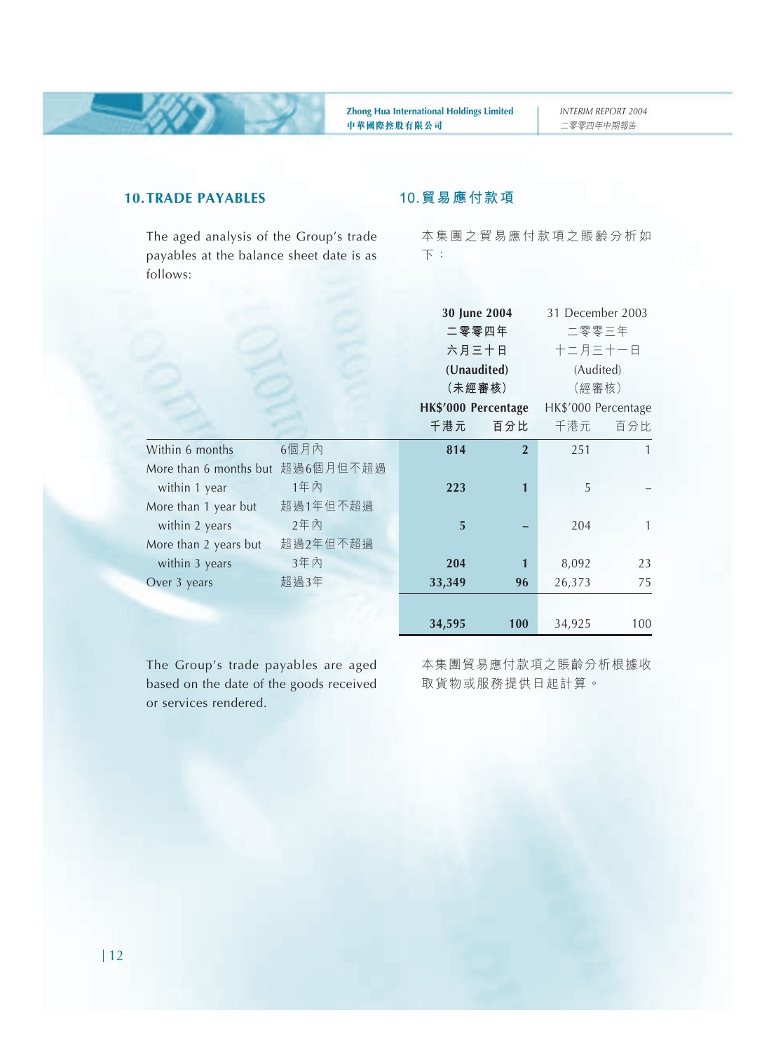#### **10.TRADE PAYABLES**

The aged analysis of the Group's trade payables at the balance sheet date is as follows:

#### **10.貿易應付款項**

本集團之貿易應付款項之賬齡分析如 下:

|                                  |          | 30 June 2004        |                | 31 December 2003    |              |
|----------------------------------|----------|---------------------|----------------|---------------------|--------------|
|                                  |          | 二零零四年               |                | 二零零三年               |              |
|                                  |          | 六月三十日               |                | 十二月三十一日             |              |
|                                  |          | (Unaudited)         |                | (Audited)           |              |
|                                  |          | (未經審核)              |                | (經審核)               |              |
|                                  |          | HK\$'000 Percentage |                | HK\$'000 Percentage |              |
|                                  |          | 千港元                 | 百分比            | 千港元                 | 百分比          |
| Within 6 months                  | 6個月內     | 814                 | $\overline{2}$ | 251                 | $\mathbf{1}$ |
| More than 6 months but 超過6個月但不超過 |          |                     |                |                     |              |
| within 1 year                    | 1年內      | 223                 | 1              | 5                   |              |
| More than 1 year but             | 超過1年但不超過 |                     |                |                     |              |
| within 2 years                   | 2年内      | 5                   |                | 204                 | 1            |
| More than 2 years but            | 超過2年但不超過 |                     |                |                     |              |
| within 3 years                   | 3年內      | 204                 | 1              | 8,092               | 23           |
| Over 3 years                     | 超過3年     | 33,349              | 96             | 26,373              | 75           |
|                                  |          |                     |                |                     |              |
|                                  |          | 34,595              | 100            | 34,925              | 100          |

The Group's trade payables are aged based on the date of the goods received or services rendered.

本集團貿易應付款項之賬齡分析根據收 取貨物或服務提供日起計算。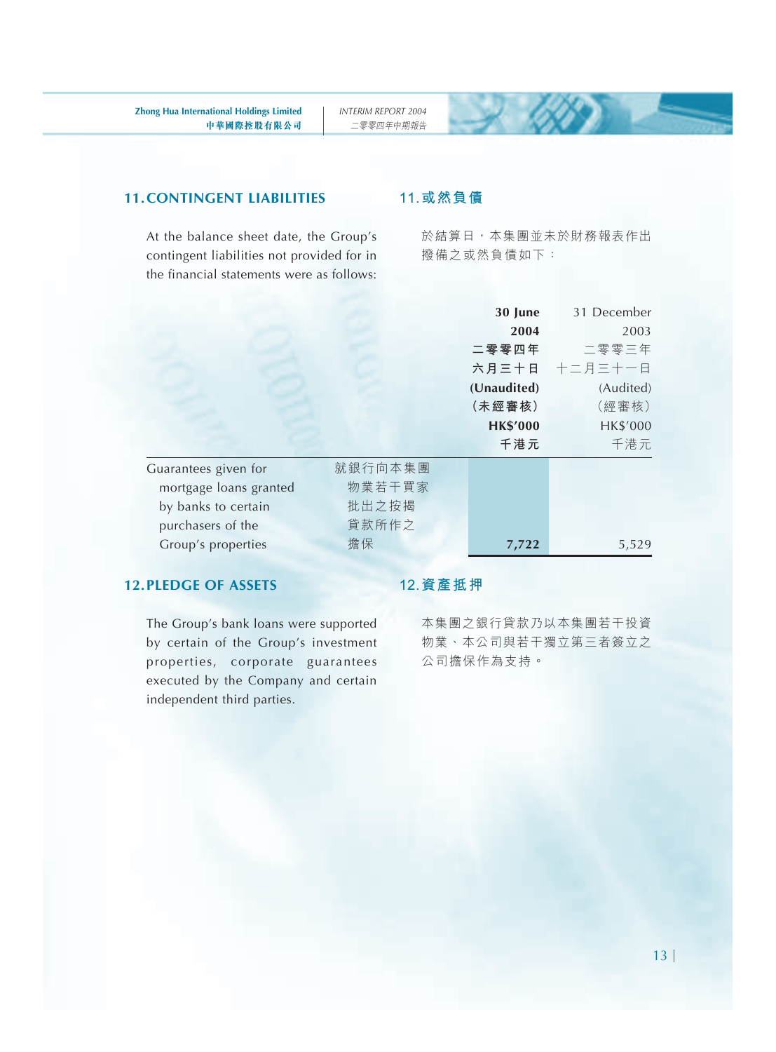#### **11.CONTINGENT LIABILITIES**

At the balance sheet date, the Group's contingent liabilities not provided for in the financial statements were as follows:

#### **11.或然負債**

於結算日,本集團並未於財務報表作出 撥備之或然負債如下:

|                        |         | 30 June         | 31 December   |
|------------------------|---------|-----------------|---------------|
|                        |         | 2004            | 2003          |
|                        |         | 二零零四年           | 二零零三年         |
|                        |         |                 | 六月三十日 十二月三十一日 |
|                        |         | (Unaudited)     | (Audited)     |
|                        |         | (未經審核)          | (經審核)         |
|                        |         | <b>HK\$'000</b> | HK\$'000      |
|                        |         | 千港元             | 千港元           |
| Guarantees given for   | 就銀行向本集團 |                 |               |
| mortgage loans granted | 物業若干買家  |                 |               |
| by banks to certain    | 批出之按揭   |                 |               |
| purchasers of the      | 貸款所作之   |                 |               |
| Group's properties     | 擔保      | 7,722           | 5,529         |

#### **12.PLEDGE OF ASSETS**

The Group's bank loans were supported by certain of the Group's investment properties, corporate guarantees executed by the Company and certain independent third parties.

#### **12.資產抵押**

本集團之銀行貸款乃以本集團若干投資 物業、本公司與若干獨立第三者簽立之 公司擔保作為支持。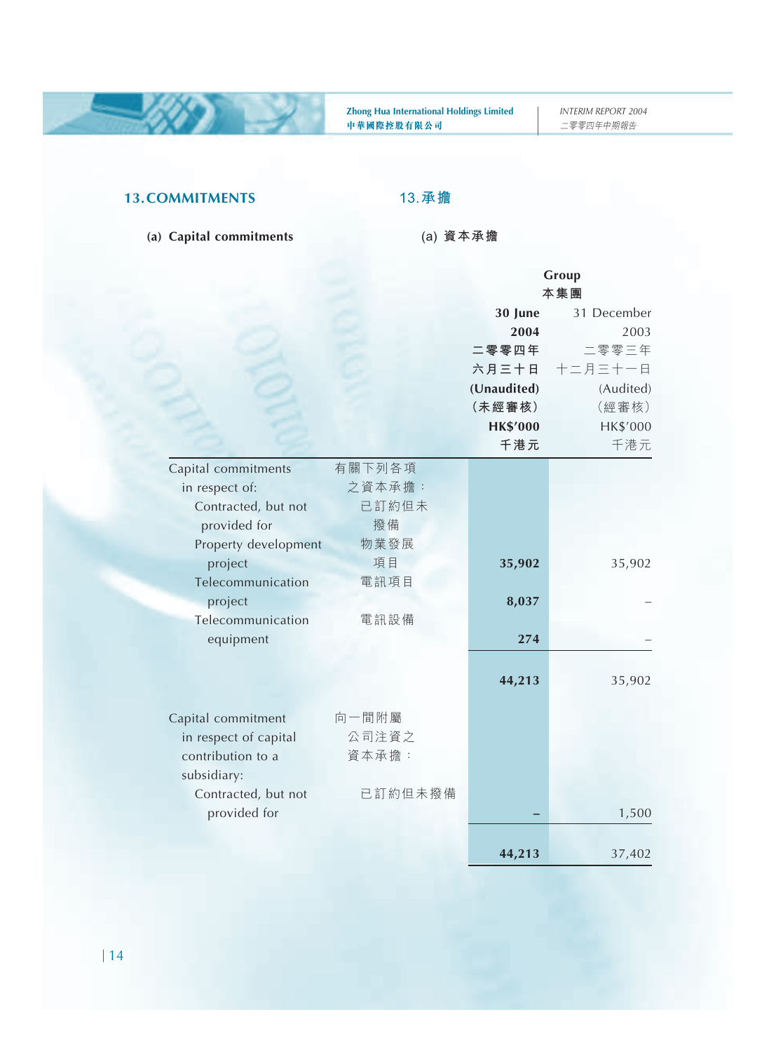#### **13.COMMITMENTS**

#### **(a) Capital commitments**

**13.承擔**

**(a) 資本承擔**

|                       |         |                 | Group       |  |
|-----------------------|---------|-----------------|-------------|--|
|                       |         | 本集團             |             |  |
|                       |         | 30 June         | 31 December |  |
|                       |         | 2004            | 2003        |  |
|                       |         | 二零零四年           | 二零零三年       |  |
|                       |         | 六月三十日           | 十二月三十一日     |  |
|                       |         | (Unaudited)     | (Audited)   |  |
|                       |         | (未經審核)          | (經審核)       |  |
|                       |         | <b>HK\$'000</b> | HK\$'000    |  |
|                       |         | 千港元             | 千港元         |  |
| Capital commitments   | 有關下列各項  |                 |             |  |
| in respect of:        | 之資本承擔:  |                 |             |  |
| Contracted, but not   | 已訂約但未   |                 |             |  |
| provided for          | 撥備      |                 |             |  |
| Property development  | 物業發展    |                 |             |  |
| project               | 項目      | 35,902          | 35,902      |  |
| Telecommunication     | 電訊項目    |                 |             |  |
| project               |         | 8,037           |             |  |
| Telecommunication     | 電訊設備    |                 |             |  |
| equipment             |         | 274             |             |  |
|                       |         |                 |             |  |
|                       |         | 44,213          | 35,902      |  |
|                       |         |                 |             |  |
| Capital commitment    | 向一間附屬   |                 |             |  |
| in respect of capital | 公司注資之   |                 |             |  |
| contribution to a     | 資本承擔:   |                 |             |  |
| subsidiary:           |         |                 |             |  |
| Contracted, but not   | 已訂約但未撥備 |                 |             |  |
| provided for          |         |                 | 1,500       |  |
|                       |         |                 |             |  |
|                       |         | 44,213          | 37,402      |  |
|                       |         |                 |             |  |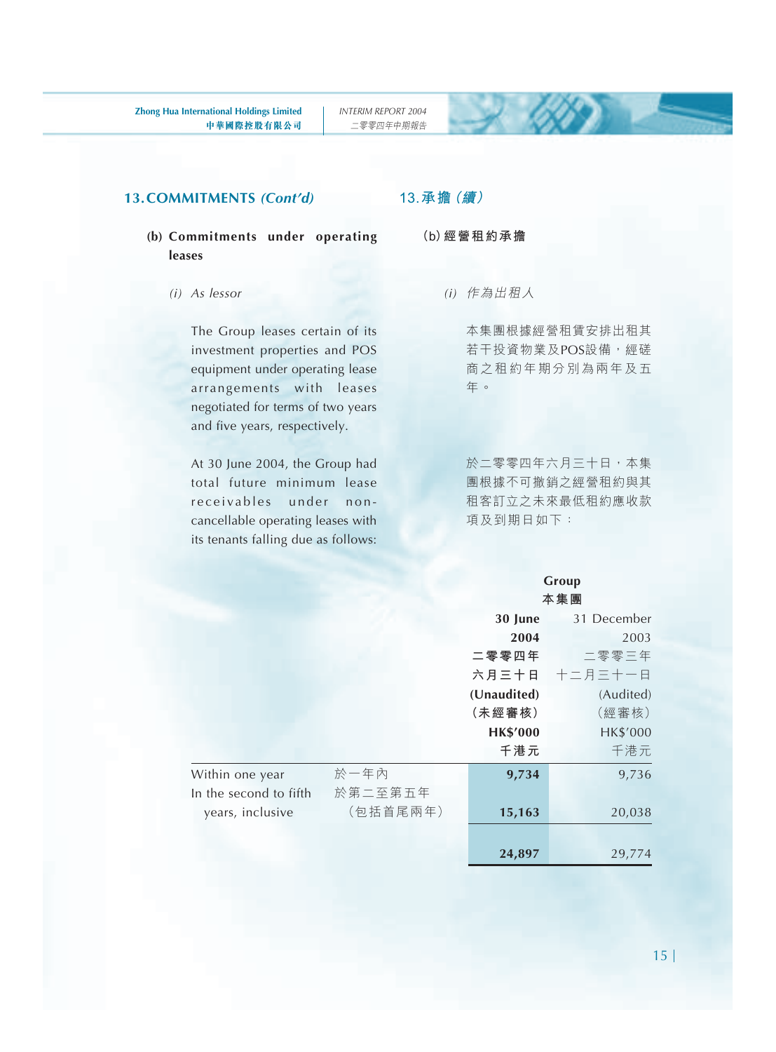#### **13.COMMITMENTS** *(Cont'd)*

#### **(b) Commitments under operating leases**

*(i) As lessor*

The Group leases certain of its investment properties and POS equipment under operating lease arrangements with leases negotiated for terms of two years and five years, respectively.

At 30 June 2004, the Group had total future minimum lease receivables under noncancellable operating leases with its tenants falling due as follows:

#### **13.承擔(續)**

- **(b)經營租約承擔**
	- *(i)* 作為出租人

本集團根據經營租賃安排出租其 若干投資物業及POS設備,經磋 商之租約年期分別為兩年及五 年。

於二零零四年六月三十日,本集 團根據不可撤銷之經營租約與其 租客訂立之未來最低租約應收款 項及到期日如下:

#### **Group 本集團**

|                        |          | 30 June         | 31 December |
|------------------------|----------|-----------------|-------------|
|                        |          | 2004            | 2003        |
|                        |          | 二零零四年           | 二零零三年       |
|                        |          | 六月三十日           | 十二月三十一日     |
|                        |          | (Unaudited)     | (Audited)   |
|                        |          | (未經審核)          | (經審核)       |
|                        |          | <b>HK\$'000</b> | HK\$'000    |
|                        |          | 千港元             | 千港元         |
| Within one year        | 於一年內     | 9,734           | 9,736       |
| In the second to fifth | 於第二至第五年  |                 |             |
| years, inclusive       | (包括首尾兩年) | 15,163          | 20,038      |
|                        |          |                 |             |
|                        |          | 24,897          | 29,774      |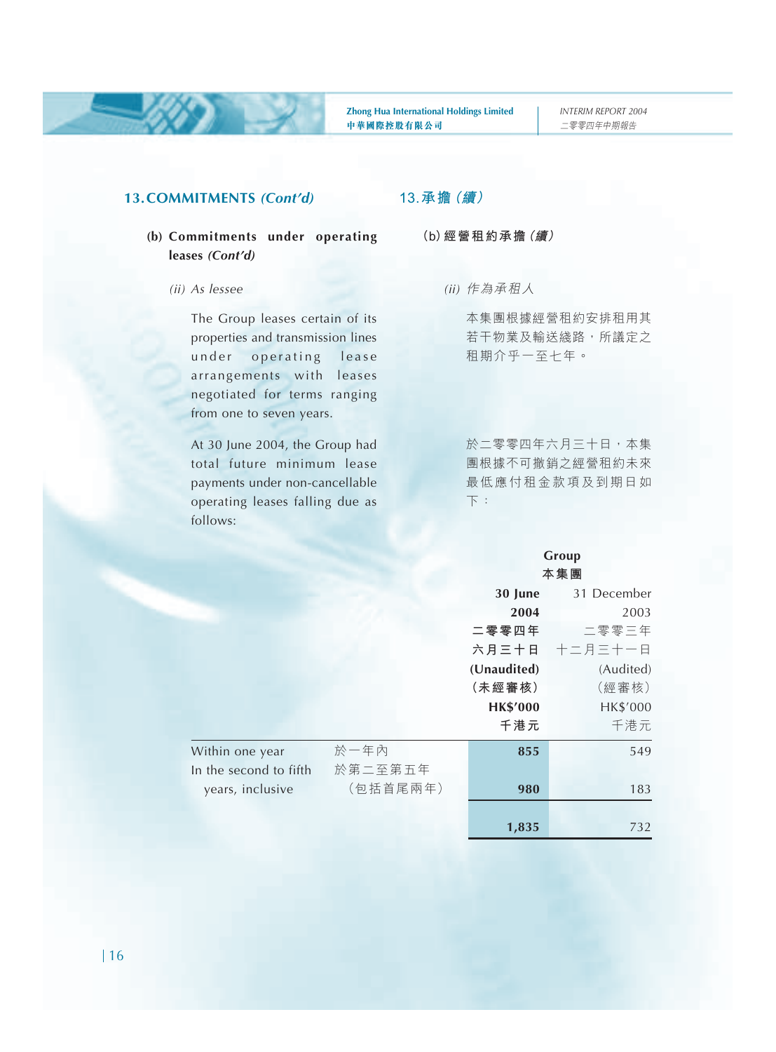#### **13.COMMITMENTS** *(Cont'd)*

#### **(b) Commitments under operating leases** *(Cont'd)*

#### *(ii) As lessee*

The Group leases certain of its properties and transmission lines under operating lease arrangements with leases negotiated for terms ranging from one to seven years.

At 30 June 2004, the Group had total future minimum lease payments under non-cancellable operating leases falling due as follows:

#### **13.承擔(續)**

**(b)經營租約承擔(續)**

*(ii)* 作為承租人

本集團根據經營租約安排租用其 若干物業及輸送㵟路,所議定之 租期介乎一至七年。

於二零零四年六月三十日,本集 團根據不可撤銷之經營租約未來 最低應付租金款項及到期日如 下:

#### **Group 本集團**

|                        |          | 30 June         | 31 December   |
|------------------------|----------|-----------------|---------------|
|                        |          | 2004            | 2003          |
|                        |          | 二零零四年           | 二零零三年         |
|                        |          |                 | 六月三十日 十二月三十一日 |
|                        |          | (Unaudited)     | (Audited)     |
|                        |          | (未經審核)          | (經審核)         |
|                        |          | <b>HK\$'000</b> | HK\$'000      |
|                        |          | 千港元             | 千港元           |
| Within one year        | 於一年內     | 855             | 549           |
| In the second to fifth | 於第二至第五年  |                 |               |
| years, inclusive       | (包括首尾兩年) | 980             | 183           |
|                        |          |                 |               |
|                        |          | 1,835           | 732           |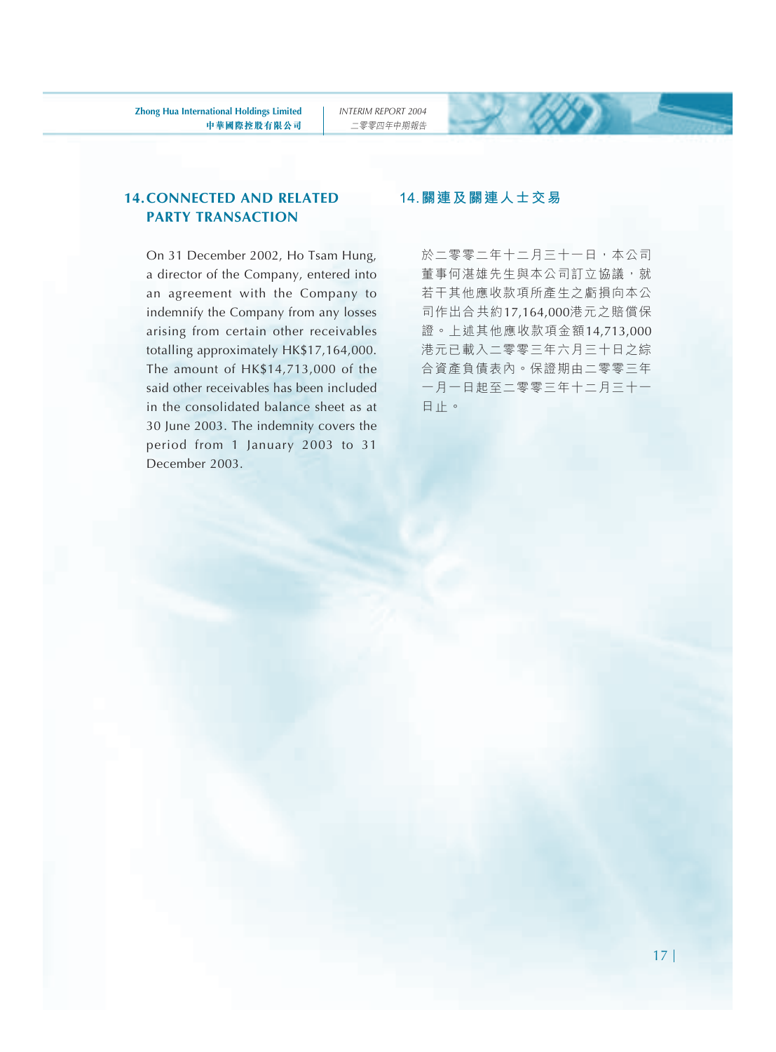#### **14.CONNECTED AND RELATED PARTY TRANSACTION**

On 31 December 2002, Ho Tsam Hung, a director of the Company, entered into an agreement with the Company to indemnify the Company from any losses arising from certain other receivables totalling approximately HK\$17,164,000. The amount of HK\$14,713,000 of the said other receivables has been included in the consolidated balance sheet as at 30 June 2003. The indemnity covers the period from 1 January 2003 to 31 December 2003.

#### **14.關連及關連人士交易**

於二零零二年十二月三十一日,本公司 董事何湛雄先生與本公司訂立協議,就 若干其他應收款項所產生之虧損向本公 司作出合共約17,164,000港元之賠償保 證。上述其他應收款項金額14,713,000 港元已載入二零零三年六月三十日之綜 合資產負債表內。保證期由二零零三年 一月一日起至二零零三年十二月三十一 日止。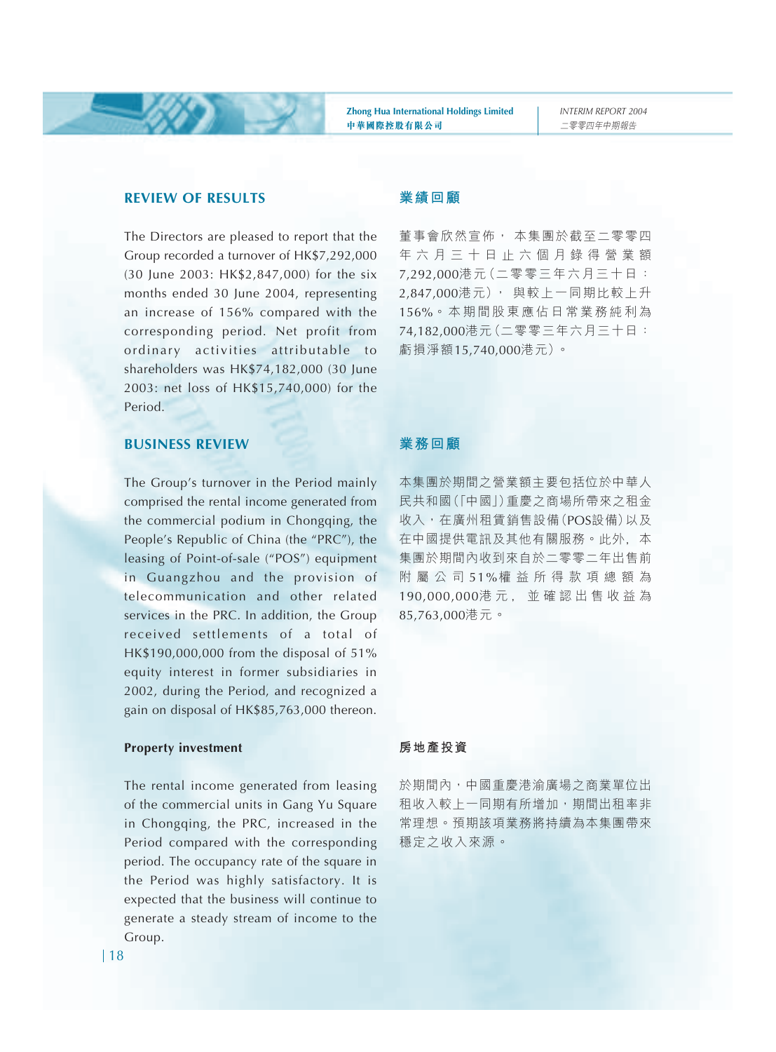#### **REVIEW OF RESULTS**

The Directors are pleased to report that the Group recorded a turnover of HK\$7,292,000 (30 June 2003: HK\$2,847,000) for the six months ended 30 June 2004, representing an increase of 156% compared with the corresponding period. Net profit from ordinary activities attributable to shareholders was HK\$74,182,000 (30 June 2003: net loss of HK\$15,740,000) for the Period.

#### **業績回顧**

董事會欣然宣佈, 本集團於截至二零零四 年六月三十日止六個月錄得營業額 7,292,000港元(二零零三年六月三十日: 2,847,000港元), 與較上一同期比較上升 156%。本期間股東應佔日常業務純利為 74,182,000港元(二零零三年六月三十日: 虧損淨額15,740,000港元)。

#### **BUSINESS REVIEW**

The Group's turnover in the Period mainly comprised the rental income generated from the commercial podium in Chongqing, the People's Republic of China (the "PRC"), the leasing of Point-of-sale ("POS") equipment in Guangzhou and the provision of telecommunication and other related services in the PRC. In addition, the Group received settlements of a total of HK\$190,000,000 from the disposal of 51% equity interest in former subsidiaries in 2002, during the Period, and recognized a gain on disposal of HK\$85,763,000 thereon.

#### **Property investment**

The rental income generated from leasing of the commercial units in Gang Yu Square in Chongqing, the PRC, increased in the Period compared with the corresponding period. The occupancy rate of the square in the Period was highly satisfactory. It is expected that the business will continue to generate a steady stream of income to the Group.

#### **業務回顧**

本集團於期間之營業額主要包括位於中華人 民共和國(「中國」)重慶之商場所帶來之租金 收入,在廣州租賃銷售設備(POS設備)以及 在中國提供電訊及其他有關服務。此外﹐本 集團於期間內收到來自於二零零二年出售前 附屬公司 51%權益所得款項總額為 190,000,000港元﹐並確認出售收益為 85,763,000港元。

#### **房地產投資**

於期間內,中國重慶港渝廣場之商業單位出 租收入較上一同期有所增加,期間出租率非 常理想。預期該項業務將持續為本集團帶來 穩定之收入來源。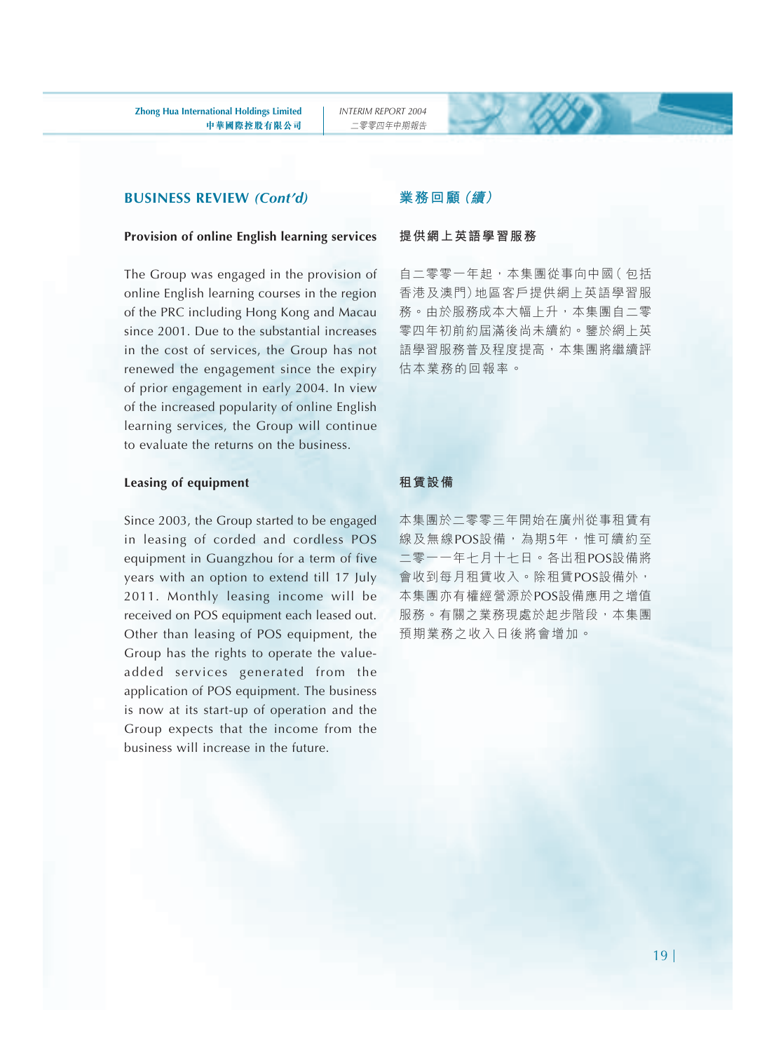#### **BUSINESS REVIEW** *(Cont'd)*

#### **Provision of online English learning services**

The Group was engaged in the provision of online English learning courses in the region of the PRC including Hong Kong and Macau since 2001. Due to the substantial increases in the cost of services, the Group has not renewed the engagement since the expiry of prior engagement in early 2004. In view of the increased popularity of online English learning services, the Group will continue to evaluate the returns on the business.

#### **Leasing of equipment**

Since 2003, the Group started to be engaged in leasing of corded and cordless POS equipment in Guangzhou for a term of five years with an option to extend till 17 July 2011. Monthly leasing income will be received on POS equipment each leased out. Other than leasing of POS equipment, the Group has the rights to operate the valueadded services generated from the application of POS equipment. The business is now at its start-up of operation and the Group expects that the income from the business will increase in the future.

#### **業務回顧(續)**

#### **提供網上英語學習服務**

自二零零一年起,本集團從事向中國( 包括 香港及澳門)地區客戶提供網上英語學習服 務。由於服務成本大幅上升,本集團自二零 零四年初前約屆滿後尚未續約。鑒於網上英 語學習服務普及程度提高,本集團將繼續評 估本業務的回報率。

#### **租賃設備**

本集團於二零零三年開始在廣州從事租賃有 線及無線POS設備,為期5年,惟可續約至 二零一一年七月十七日。各出租POS設備將 會收到每月租賃收入。除租賃POS設備外, 本集團亦有權經營源於POS設備應用之增值 服務。有關之業務現處於起步階段,本集團 預期業務之收入日後將會增加。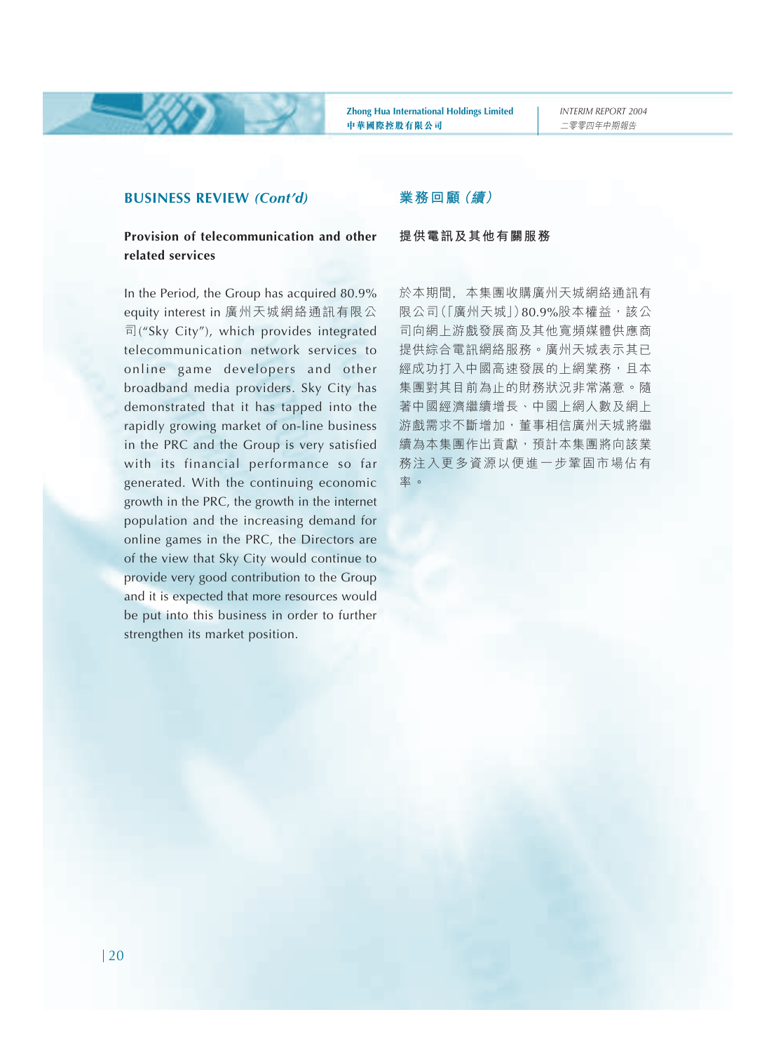*INTERIM REPORT 2004* 二零零四年中期報告

#### **BUSINESS REVIEW** *(Cont'd)*

#### **Provision of telecommunication and other related services**

In the Period, the Group has acquired 80.9% equity interest in 廣州天城網絡通訊有限公 司("Sky City"), which provides integrated telecommunication network services to online game developers and other broadband media providers. Sky City has demonstrated that it has tapped into the rapidly growing market of on-line business in the PRC and the Group is very satisfied with its financial performance so far generated. With the continuing economic growth in the PRC, the growth in the internet population and the increasing demand for online games in the PRC, the Directors are of the view that Sky City would continue to provide very good contribution to the Group and it is expected that more resources would be put into this business in order to further strengthen its market position.

#### **業務回顧(續)**

#### **提供電訊及其他有關服務**

於本期間﹐本集團收購廣州天城網絡通訊有 限公司(「廣州天城」)80.9%股本權益,該公 司向網上游戲發展商及其他寬頻媒體供應商 提供綜合電訊網絡服務。廣州天城表示其已 經成功打入中國高速發展的上網業務,且本 集團對其目前為止的財務狀況非常滿意。隨 著中國經濟繼續增長、中國上網人數及網上 游戲需求不斷增加,董事相信廣州天城將繼 續為本集團作出貢獻,預計本集團將向該業 務注入更多資源以便進一步鞏固市場佔有 率。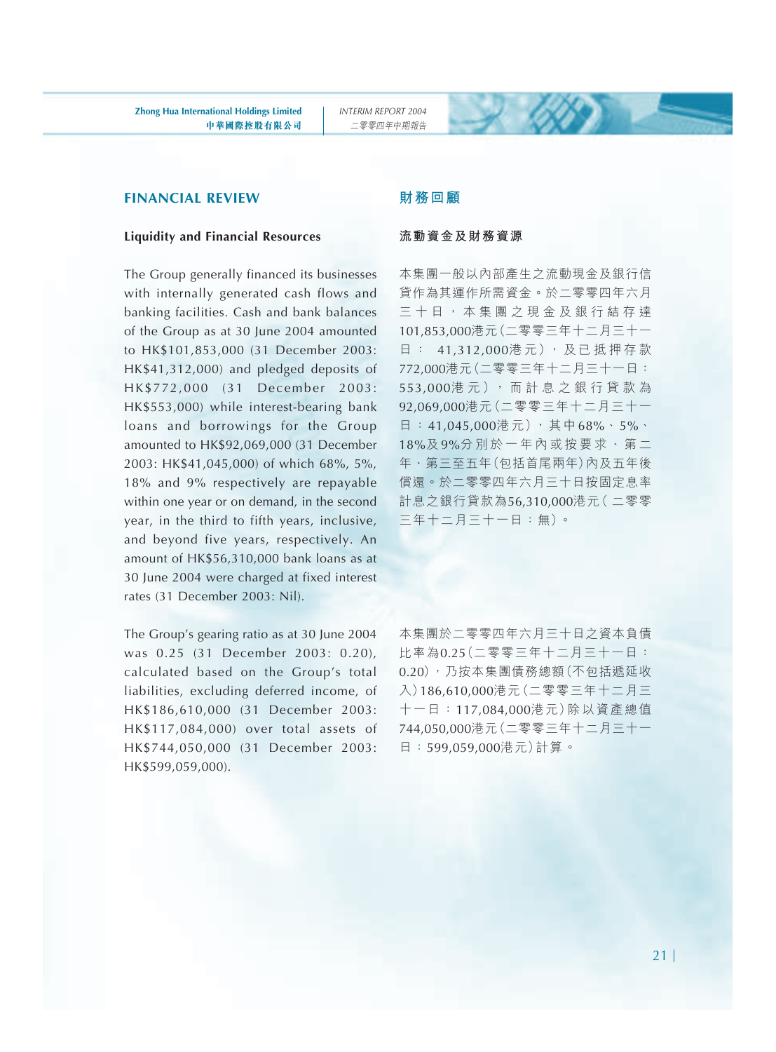#### **FINANCIAL REVIEW**

#### **Liquidity and Financial Resources**

The Group generally financed its businesses with internally generated cash flows and banking facilities. Cash and bank balances of the Group as at 30 June 2004 amounted to HK\$101,853,000 (31 December 2003: HK\$41,312,000) and pledged deposits of HK\$772,000 (31 December 2003: HK\$553,000) while interest-bearing bank loans and borrowings for the Group amounted to HK\$92,069,000 (31 December 2003: HK\$41,045,000) of which 68%, 5%, 18% and 9% respectively are repayable within one year or on demand, in the second year, in the third to fifth years, inclusive, and beyond five years, respectively. An amount of HK\$56,310,000 bank loans as at 30 June 2004 were charged at fixed interest rates (31 December 2003: Nil).

The Group's gearing ratio as at 30 June 2004 was 0.25 (31 December 2003: 0.20), calculated based on the Group's total liabilities, excluding deferred income, of HK\$186,610,000 (31 December 2003: HK\$117,084,000) over total assets of HK\$744,050,000 (31 December 2003: HK\$599,059,000).

#### **財務回顧**

#### **流動資金及財務資源**

本集團一般以內部產生之流動現金及銀行信 貸作為其運作所需資金。於二零零四年六月 三十日,本集團之現金及銀行結存達 101,853,000港元(二零零三年十二月三十一 日 : 41,312,000港 元), 及 已 抵 押 存 款 772,000港元(二零零三年十二月三十一日: 553,000港 元 ), 而 計 息 之 銀 行 貸 款 為 92,069,000港元(二零零三年十二月三十一 日:41,045,000港元),其中68%、5%、 18%及 9%分別於一年內或按要求、第二 年、第三至五年(包括首尾兩年)內及五年後 償還。於二零零四年六月三十日按固定息率 計息之銀行貸款為56,310,000港元( 二零零 三年十二月三十一日:無)。

本集團於二零零四年六月三十日之資本負債 比率為0.25(二零零三年十二月三十一日: 0.20),乃按本集團債務總額(不包括遞延收 入)186,610,000港元(二零零三年十二月三 十一日:117,084,000港元)除以資產總值 744,050,000港元(二零零三年十二月三十一 日:599,059,000港元)計算。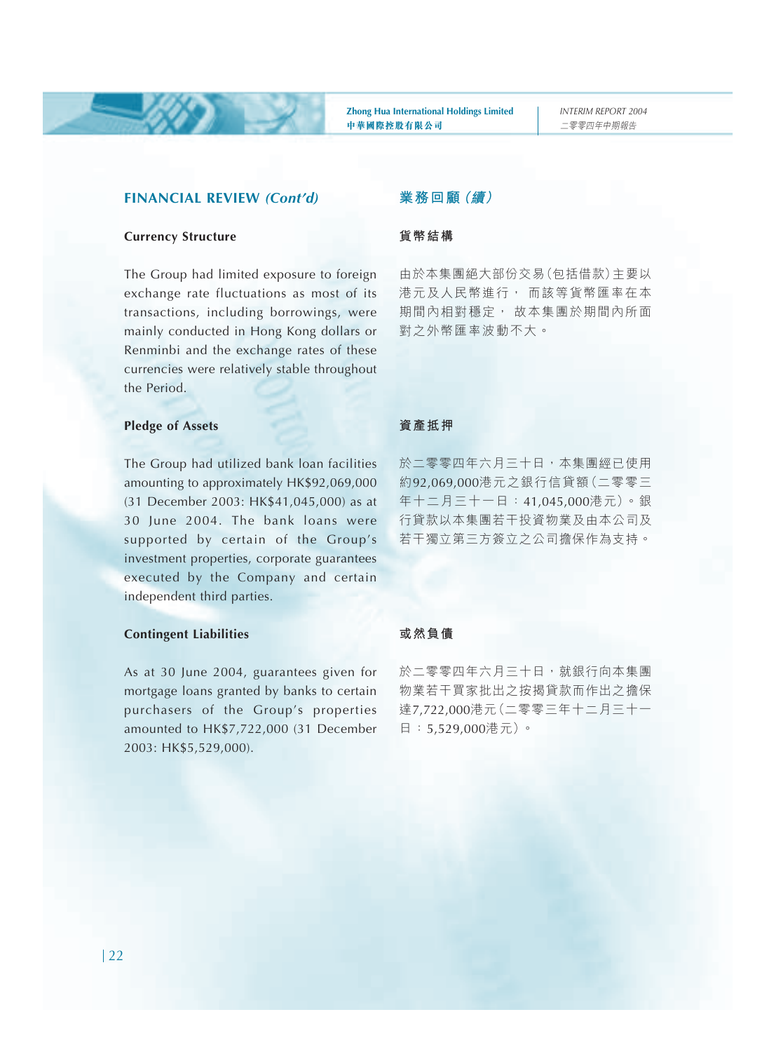#### **FINANCIAL REVIEW** *(Cont'd)*

#### **Currency Structure**

The Group had limited exposure to foreign exchange rate fluctuations as most of its transactions, including borrowings, were mainly conducted in Hong Kong dollars or Renminbi and the exchange rates of these currencies were relatively stable throughout the Period.

#### **Pledge of Assets**

The Group had utilized bank loan facilities amounting to approximately HK\$92,069,000 (31 December 2003: HK\$41,045,000) as at 30 June 2004. The bank loans were supported by certain of the Group's investment properties, corporate guarantees executed by the Company and certain independent third parties.

#### **Contingent Liabilities**

As at 30 June 2004, guarantees given for mortgage loans granted by banks to certain purchasers of the Group's properties amounted to HK\$7,722,000 (31 December 2003: HK\$5,529,000).

#### **業務回顧(續)**

#### **貨幣結構**

由於本集團絕大部份交易(包括借款)主要以 港元及人民幣進行, 而該等貨幣匯率在本 期間內相對穩定, 故本集團於期間內所面 對之外幣匯率波動不大。

#### **資產抵押**

於二零零四年六月三十日,本集團經已使用 約92,069,000港元之銀行信貸額(二零零三 年十二月三十一日:41,045,000港元)。銀 行貸款以本集團若干投資物業及由本公司及 若干獨立第三方簽立之公司擔保作為支持。

#### **或然負債**

於二零零四年六月三十日,就銀行向本集團 物業若干買家批出之按揭貸款而作出之擔保 達7,722,000港元(二零零三年十二月三十一 日:5,529,000港元)。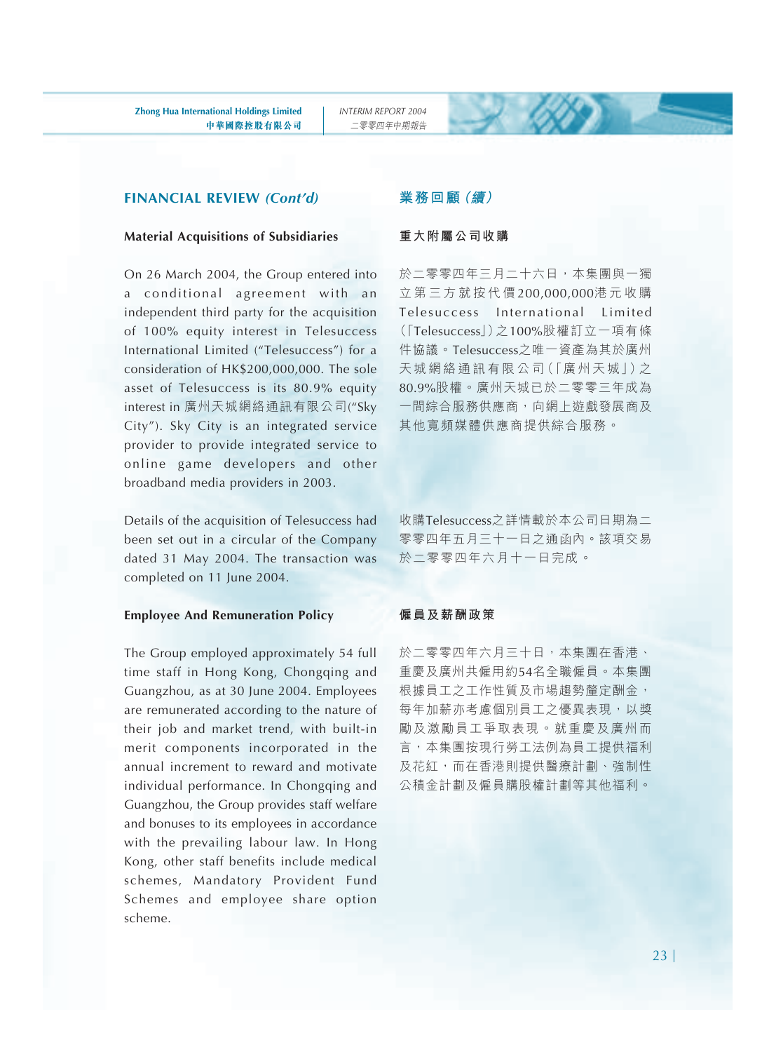#### **FINANCIAL REVIEW** *(Cont'd)*

#### **Material Acquisitions of Subsidiaries**

On 26 March 2004, the Group entered into a conditional agreement with an independent third party for the acquisition of 100% equity interest in Telesuccess International Limited ("Telesuccess") for a consideration of HK\$200,000,000. The sole asset of Telesuccess is its 80.9% equity interest in 廣州天城網絡通訊有限公司("Sky City"). Sky City is an integrated service provider to provide integrated service to online game developers and other broadband media providers in 2003.

Details of the acquisition of Telesuccess had been set out in a circular of the Company dated 31 May 2004. The transaction was completed on 11 June 2004.

#### **Employee And Remuneration Policy**

The Group employed approximately 54 full time staff in Hong Kong, Chongqing and Guangzhou, as at 30 June 2004. Employees are remunerated according to the nature of their job and market trend, with built-in merit components incorporated in the annual increment to reward and motivate individual performance. In Chongqing and Guangzhou, the Group provides staff welfare and bonuses to its employees in accordance with the prevailing labour law. In Hong Kong, other staff benefits include medical schemes, Mandatory Provident Fund Schemes and employee share option scheme.

#### **業務回顧(續)**

#### **重大附屬公司收購**

於二零零四年三月二十六日,本集團與一獨 立第三方就按代價 200,000,000港元收購 Telesuccess International Limited (「Telesuccess」)之100%股權訂立一項有條 件協議。Telesuccess之唯一資產為其於廣州 天城 網絡 通訊 有限 公司 (「廣州天城」) 之 80.9%股權。廣州天城已於二零零三年成為 一間綜合服務供應商,向網上遊戲發展商及 其他寬頻媒體供應商提供綜合服務。

收購Telesuccess之詳情載於本公司日期為二 零零四年五月三十一日之通函內。該項交易 於二零零四年六月十一日完成。

#### **僱員及薪酬政策**

於二零零四年六月三十日,本集團在香港、 重慶及廣州共僱用約54名全職僱員。本集團 根據員工之工作性質及市場趨勢釐定酬金, 每年加薪亦考慮個別員工之優異表現,以獎 勵及激勵員工爭取表現。就重慶及廣州而 言,本集團按現行勞工法例為員工提供福利 及花紅,而在香港則提供醫療計劃、強制性 公積金計劃及僱員購股權計劃等其他福利。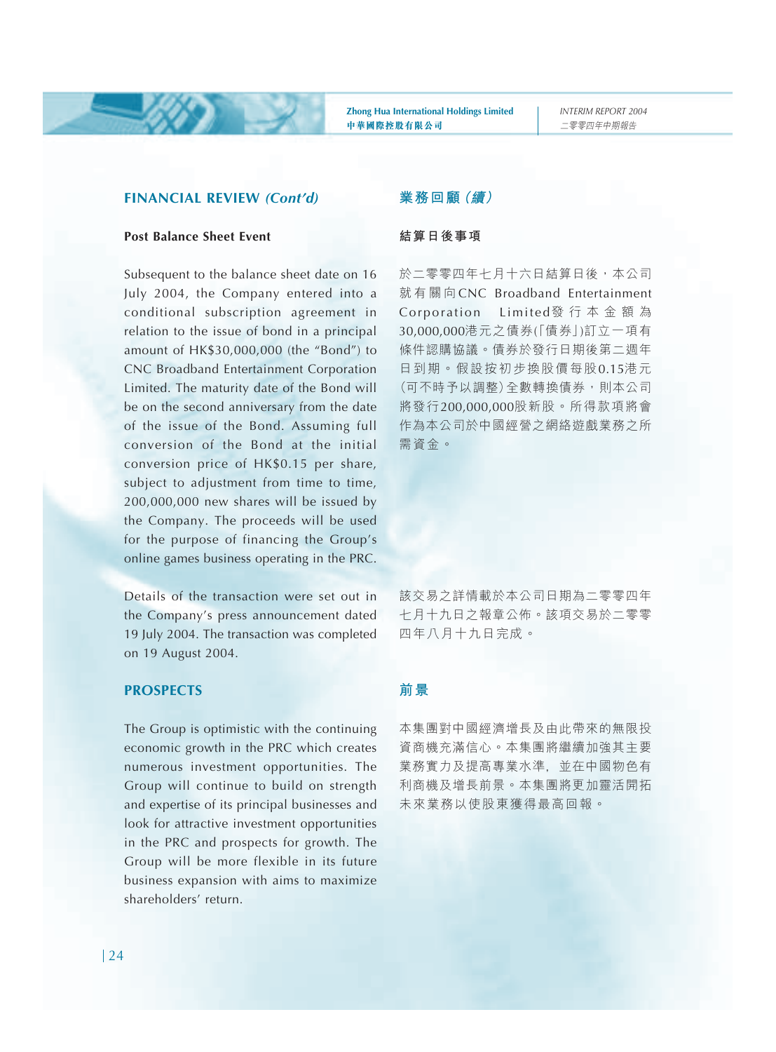#### **FINANCIAL REVIEW** *(Cont'd)*

#### **Post Balance Sheet Event**

Subsequent to the balance sheet date on 16 July 2004, the Company entered into a conditional subscription agreement in relation to the issue of bond in a principal amount of HK\$30,000,000 (the "Bond") to CNC Broadband Entertainment Corporation Limited. The maturity date of the Bond will be on the second anniversary from the date of the issue of the Bond. Assuming full conversion of the Bond at the initial conversion price of HK\$0.15 per share, subject to adjustment from time to time, 200,000,000 new shares will be issued by the Company. The proceeds will be used for the purpose of financing the Group's online games business operating in the PRC.

Details of the transaction were set out in the Company's press announcement dated 19 July 2004. The transaction was completed on 19 August 2004.

#### **PROSPECTS**

The Group is optimistic with the continuing economic growth in the PRC which creates numerous investment opportunities. The Group will continue to build on strength and expertise of its principal businesses and look for attractive investment opportunities in the PRC and prospects for growth. The Group will be more flexible in its future business expansion with aims to maximize shareholders' return.

#### **業務回顧(續)**

#### **結算日後事項**

於二零零四年七月十六日結算日後,本公司 就有關向 CNC Broadband Entertainment Corporation Limited發行本金額為 30,000,000港元之債券(「債券」)訂立一項有 條件認購協議。債券於發行日期後第二週年 日到期。假設按初步換股價每股0.15港元 (可不時予以調整)全數轉換債券,則本公司 將發行200,000,000股新股。所得款項將會 作為本公司於中國經營之網絡遊戲業務之所 需資金。

該交易之詳情載於本公司日期為二零零四年 七月十九日之報章公佈。該項交易於二零零 四年八月十九日完成。

#### **前景**

本集團對中國經濟增長及由此帶來的無限投 資商機充滿信心。本集團將繼續加強其主要 業務實力及提高專業水準﹐並在中國物色有 利商機及增長前景。本集團將更加靈活開拓 未來業務以使股東獲得最高回報。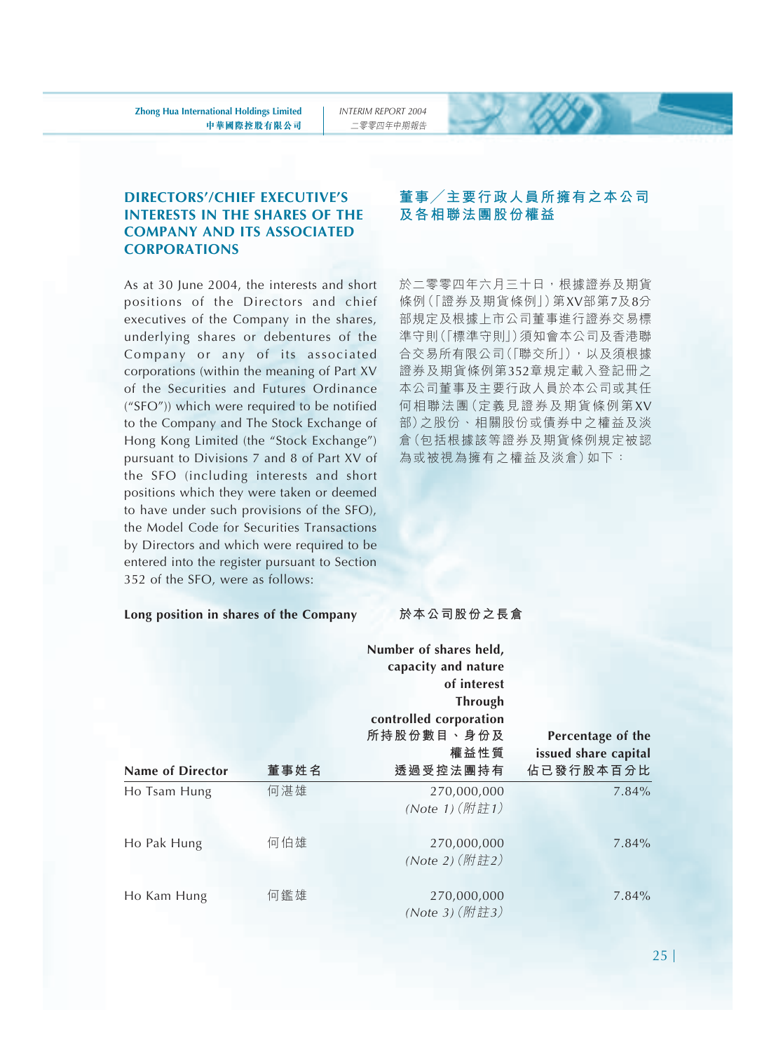#### **DIRECTORS'/CHIEF EXECUTIVE'S INTERESTS IN THE SHARES OF THE COMPANY AND ITS ASSOCIATED CORPORATIONS**

As at 30 June 2004, the interests and short positions of the Directors and chief executives of the Company in the shares, underlying shares or debentures of the Company or any of its associated corporations (within the meaning of Part XV of the Securities and Futures Ordinance ("SFO")) which were required to be notified to the Company and The Stock Exchange of Hong Kong Limited (the "Stock Exchange") pursuant to Divisions 7 and 8 of Part XV of the SFO (including interests and short positions which they were taken or deemed to have under such provisions of the SFO), the Model Code for Securities Transactions by Directors and which were required to be entered into the register pursuant to Section 352 of the SFO, were as follows:

#### **Long position in shares of the Company**

#### **董事/主要行政人員所擁有之本公司 及各相聯法團股份權益**

於二零零四年六月三十日,根據證券及期貨 條例(「證券及期貨條例」)第XV部第7及8分 部規定及根據上市公司董事進行證券交易標 準守則(「標準守則」)須知會本公司及香港聯 合交易所有限公司(「聯交所」),以及須根據 證券及期貨條例第352章規定載入登記冊之 本公司董事及主要行政人員於本公司或其任 何相聯法團(定義見證券及期貨條例第XV 部)之股份、相關股份或債券中之權益及淡 倉(包括根據該等證券及期貨條例規定被認 為或被視為擁有之權益及淡倉)如下:

#### **於本公司股份之長倉**

|                         |      | Number of shares held,<br>capacity and nature<br>of interest<br>Through<br>controlled corporation |                      |
|-------------------------|------|---------------------------------------------------------------------------------------------------|----------------------|
|                         |      | 所持股份數目、身份及                                                                                        | Percentage of the    |
|                         |      | 權益性質                                                                                              | issued share capital |
| <b>Name of Director</b> | 董事姓名 | 透過受控法團持有                                                                                          | 佔已發行股本百分比            |
| Ho Tsam Hung            | 何湛雄  | 270,000,000<br>(Note 1) (附註1)                                                                     | 7.84%                |
| Ho Pak Hung             | 何伯雄  | 270,000,000<br>(Note 2) (附註2)                                                                     | $7.84\%$             |
| Ho Kam Hung             | 何鑑雄  | 270,000,000<br>(Note 3) (附註3)                                                                     | $7.84\%$             |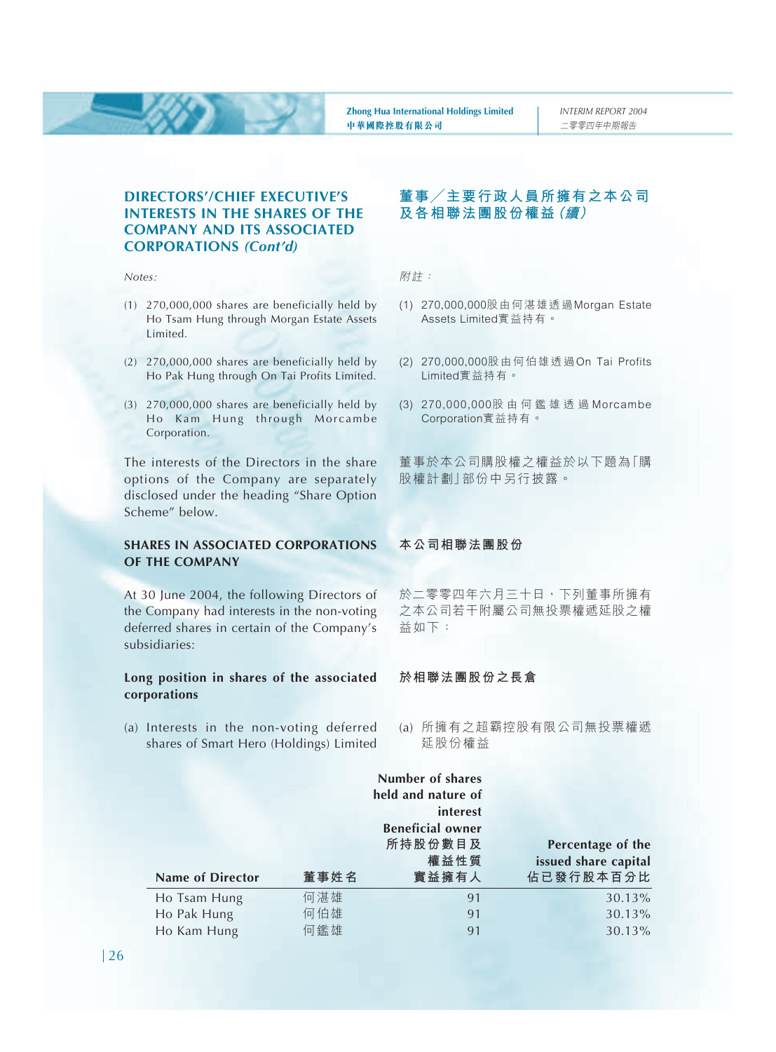#### **DIRECTORS'/CHIEF EXECUTIVE'S INTERESTS IN THE SHARES OF THE COMPANY AND ITS ASSOCIATED CORPORATIONS** *(Cont'd)*

*Notes:*

- (1) 270,000,000 shares are beneficially held by Ho Tsam Hung through Morgan Estate Assets Limited.
- (2) 270,000,000 shares are beneficially held by Ho Pak Hung through On Tai Profits Limited.
- (3) 270,000,000 shares are beneficially held by Ho Kam Hung through Morcambe Corporation.

The interests of the Directors in the share options of the Company are separately disclosed under the heading "Share Option Scheme" below.

#### **SHARES IN ASSOCIATED CORPORATIONS OF THE COMPANY**

At 30 June 2004, the following Directors of the Company had interests in the non-voting deferred shares in certain of the Company's subsidiaries:

#### **Long position in shares of the associated corporations**

(a) Interests in the non-voting deferred shares of Smart Hero (Holdings) Limited

#### **董事/主要行政人員所擁有之本公司 及各相聯法團股份權益(續)**

附註:

- (1) 270,000,000股由何湛雄透過Morgan Estate Assets Limited實益持有。
- (2) 270,000,000股由何伯雄透過On Tai Profits Limited實益持有。
- (3) 270,000,000股由何鑑雄透過 Morcambe Corporation實益持有。

董事於本公司購股權之權益於以下題為「購 股權計劃」部份中另行披露。

#### **本公司相聯法團股份**

於二零零四年六月三十日,下列董事所擁有 之本公司若干附屬公司無投票權遞延股之權 益如下:

#### **於相聯法團股份之長倉**

(a) 所擁有之超霸控股有限公司無投票權遞 延股份權益

|                  |      | Number of shares        |                      |
|------------------|------|-------------------------|----------------------|
|                  |      | held and nature of      |                      |
|                  |      | interest                |                      |
|                  |      | <b>Beneficial owner</b> |                      |
|                  |      | 所持股份數目及                 | Percentage of the    |
|                  |      | 權益性質                    | issued share capital |
| Name of Director | 董事姓名 | 實益擁有人                   | 佔已發行股本百分比            |
| Ho Tsam Hung     | 何湛雄  | 91                      | 30.13%               |
| Ho Pak Hung      | 何伯雄  | 91                      | 30.13%               |
| Ho Kam Hung      | 何鑑雄  | 91                      | 30.13%               |
|                  |      |                         |                      |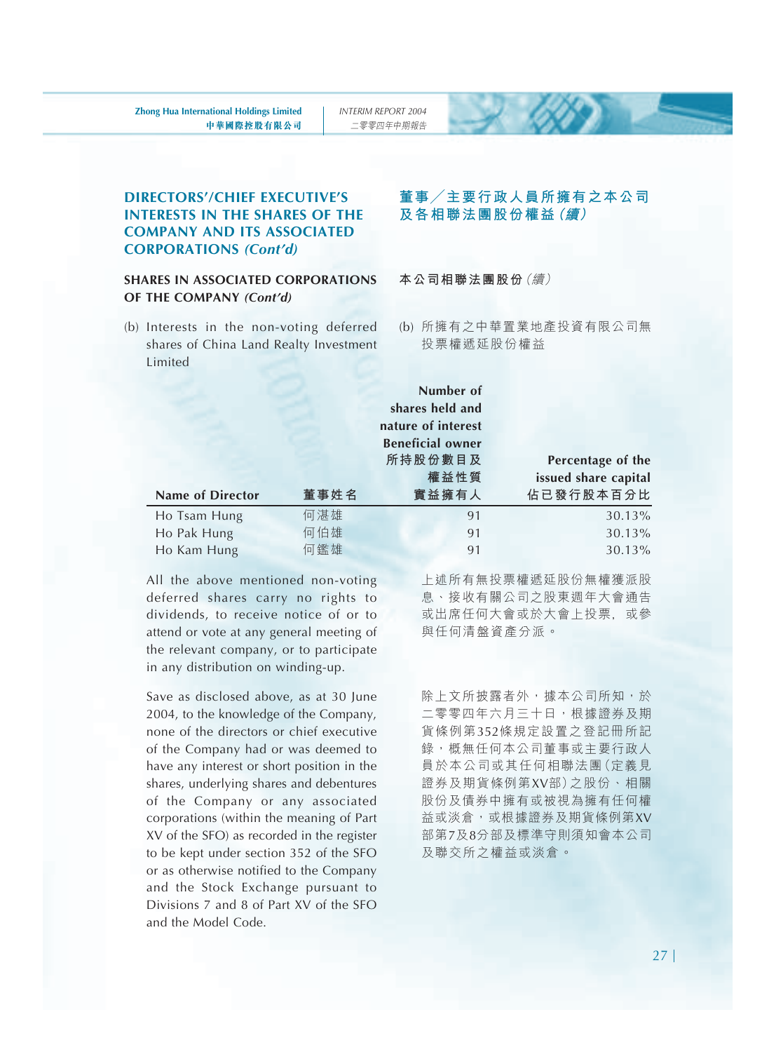*INTERIM REPORT 2004* 二零零四年中期報告

#### **DIRECTORS'/CHIEF EXECUTIVE'S INTERESTS IN THE SHARES OF THE COMPANY AND ITS ASSOCIATED CORPORATIONS** *(Cont'd)*

#### **SHARES IN ASSOCIATED CORPORATIONS OF THE COMPANY** *(Cont'd)*

(b) Interests in the non-voting deferred shares of China Land Realty Investment Limited

#### **董事/主要行政人員所擁有之本公司 及各相聯法團股份權益(續)**

**本公司相聯法團股份**(續)

(b) 所擁有之中華置業地產投資有限公司無 投票權遞延股份權益

|                         |      | Number of               |                      |
|-------------------------|------|-------------------------|----------------------|
|                         |      | shares held and         |                      |
|                         |      | nature of interest      |                      |
|                         |      | <b>Beneficial owner</b> |                      |
|                         |      | 所持股份數目及                 | Percentage of the    |
|                         |      | 權益性質                    | issued share capital |
| <b>Name of Director</b> | 董事姓名 | 實益擁有人                   | 佔已發行股本百分比            |
| Ho Tsam Hung            | 何湛雄  | 91                      | 30.13%               |
| Ho Pak Hung             | 何伯雄  | 91                      | 30.13%               |
| Ho Kam Hung             | 何鑑雄  | 91                      | 30.13%               |

All the above mentioned non-voting deferred shares carry no rights to dividends, to receive notice of or to attend or vote at any general meeting of the relevant company, or to participate in any distribution on winding-up.

Save as disclosed above, as at 30 June 2004, to the knowledge of the Company, none of the directors or chief executive of the Company had or was deemed to have any interest or short position in the shares, underlying shares and debentures of the Company or any associated corporations (within the meaning of Part XV of the SFO) as recorded in the register to be kept under section 352 of the SFO or as otherwise notified to the Company and the Stock Exchange pursuant to Divisions 7 and 8 of Part XV of the SFO and the Model Code.

上述所有無投票權遞延股份無權獲派股 息、接收有關公司之股東週年大會通告 或出席任何大會或於大會上投票﹐或參 與任何清盤資產分派。

除上文所披露者外,據本公司所知,於 二零零四年六月三十日,根據證券及期 貨條例第352條規定設置之登記冊所記 錄,概無任何本公司董事或主要行政人 員於本公司或其任何相聯法團(定義見 證券及期貨條例第XV部)之股份、相關 股份及債券中擁有或被視為擁有任何權 益或淡倉,或根據證券及期貨條例第XV 部第7及8分部及標準守則須知會本公司 及聯交所之權益或淡倉。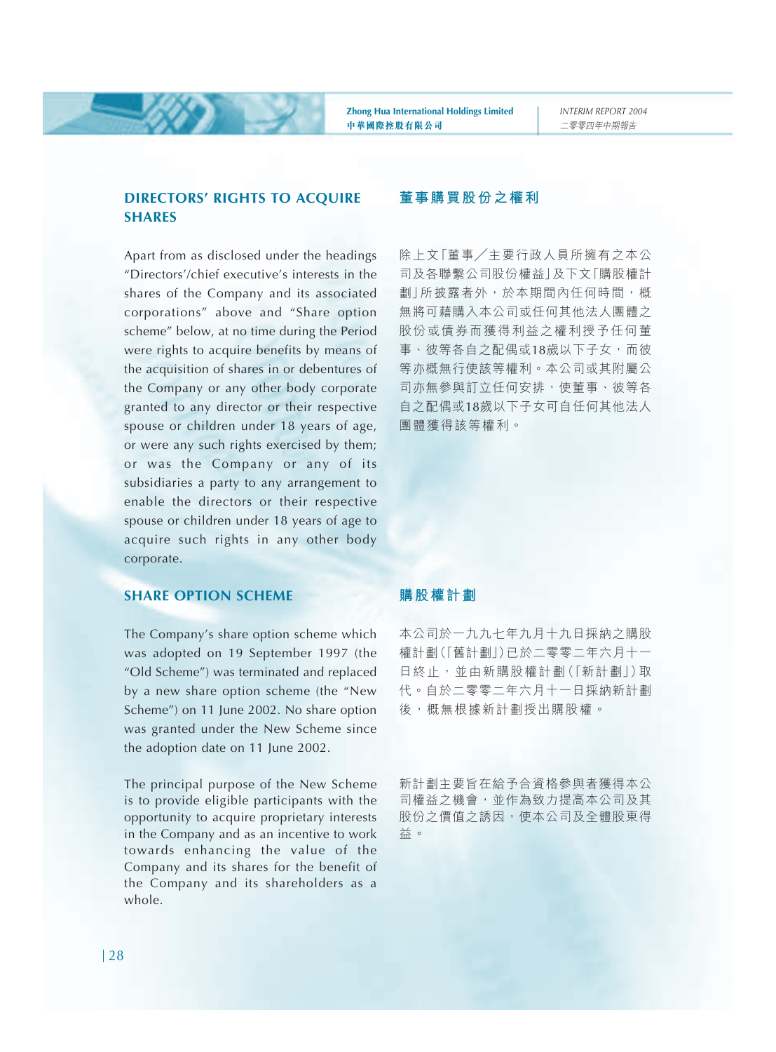#### **DIRECTORS' RIGHTS TO ACQUIRE SHARES**

Apart from as disclosed under the headings "Directors'/chief executive's interests in the shares of the Company and its associated corporations" above and "Share option scheme" below, at no time during the Period were rights to acquire benefits by means of the acquisition of shares in or debentures of the Company or any other body corporate granted to any director or their respective spouse or children under 18 years of age, or were any such rights exercised by them; or was the Company or any of its subsidiaries a party to any arrangement to enable the directors or their respective spouse or children under 18 years of age to acquire such rights in any other body corporate.

#### **SHARE OPTION SCHEME**

The Company's share option scheme which was adopted on 19 September 1997 (the "Old Scheme") was terminated and replaced by a new share option scheme (the "New Scheme") on 11 June 2002. No share option was granted under the New Scheme since the adoption date on 11 June 2002.

The principal purpose of the New Scheme is to provide eligible participants with the opportunity to acquire proprietary interests in the Company and as an incentive to work towards enhancing the value of the Company and its shares for the benefit of the Company and its shareholders as a whole.

#### **董事購買股份之權利**

除上文「董事/主要行政人員所擁有之本公 司及各聯繫公司股份權益」及下文「購股權計 劃」所披露者外,於本期間內任何時間,概 無將可藉購入本公司或任何其他法人團體之 股份或債券而獲得利益之權利授予任何董 事、彼等各自之配偶或18歲以下子女,而彼 等亦概無行使該等權利。本公司或其附屬公 司亦無參與訂立任何安排,使董事、彼等各 自之配偶或18歲以下子女可自任何其他法人 團體獲得該等權利。

#### **購股權計劃**

本公司於一九九七年九月十九日採納之購股 權計劃(「舊計劃」)已於二零零二年六月十一 日終止,並由新購股權計劃(「新計劃」)取 代。自於二零零二年六月十一日採納新計劃 後,概無根據新計劃授出購股權。

新計劃主要旨在給予合資格參與者獲得本公 司權益之機會,並作為致力提高本公司及其 股份之價值之誘因,使本公司及全體股東得 益。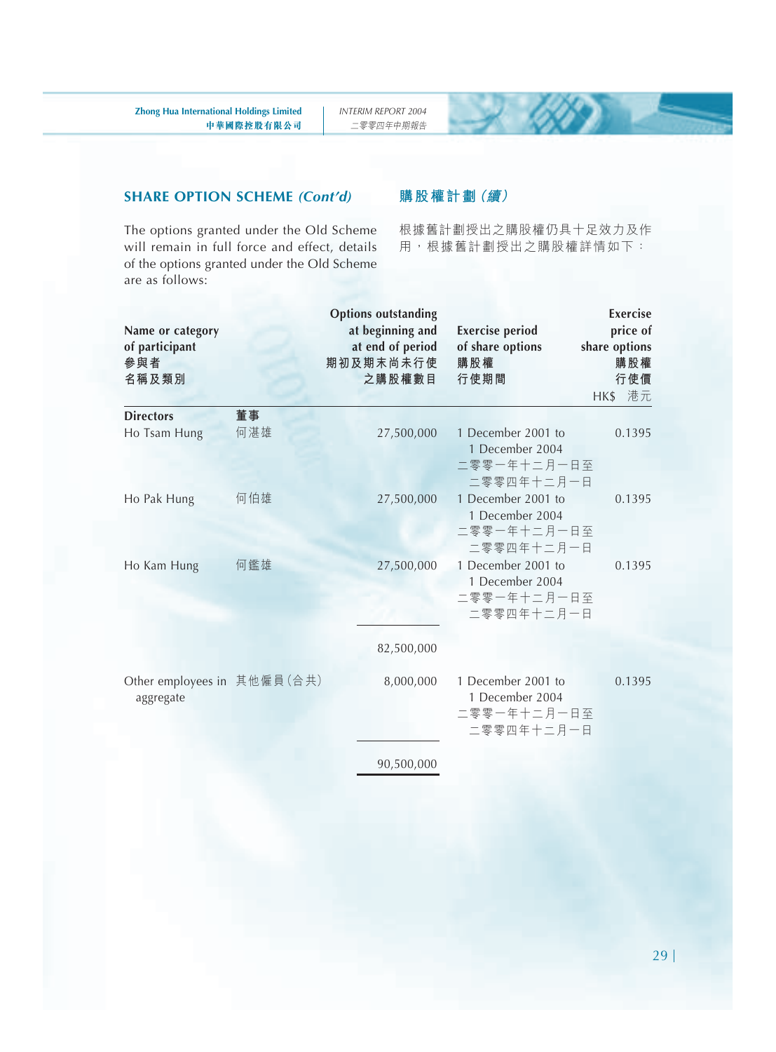#### **SHARE OPTION SCHEME** *(Cont'd)*

The options granted under the Old Scheme will remain in full force and effect, details of the options granted under the Old Scheme are as follows:

#### **購股權計劃(續)**

根據舊計劃授出之購股權仍具十足效力及作 用,根據舊計劃授出之購股權詳情如下:

| Name or category<br>of participant<br>參與者<br>名稱及類別 |     | <b>Options outstanding</b><br>at beginning and<br>at end of period<br>期初及期末尚未行使<br>之購股權數目 | <b>Exercise period</b><br>of share options<br>購股權<br>行使期間                        | Exercise<br>price of<br>share options<br>購股權<br>行使價<br>HK\$ 港元 |
|----------------------------------------------------|-----|-------------------------------------------------------------------------------------------|----------------------------------------------------------------------------------|----------------------------------------------------------------|
| <b>Directors</b>                                   | 董事  |                                                                                           |                                                                                  |                                                                |
| Ho Tsam Hung                                       | 何湛雄 | 27,500,000                                                                                | 1 December 2001 to<br>1 December 2004<br>二零零一年十二月一日至                             | 0.1395                                                         |
| Ho Pak Hung                                        | 何伯雄 | 27,500,000                                                                                | 二零零四年十二月一日<br>1 December 2001 to<br>1 December 2004<br>二零零一年十二月一日至<br>二零零四年十二月一日 | 0.1395                                                         |
| Ho Kam Hung                                        | 何鑑雄 | 27,500,000                                                                                | 1 December 2001 to<br>1 December 2004<br>二零零一年十二月一日至<br>二零零四年十二月一日               | 0.1395                                                         |
|                                                    |     | 82,500,000                                                                                |                                                                                  |                                                                |
| Other employees in 其他僱員(合共)<br>aggregate           |     | 8,000,000                                                                                 | 1 December 2001 to<br>1 December 2004<br>二零零一年十二月一日至<br>二零零四年十二月一日               | 0.1395                                                         |
|                                                    |     | 90,500,000                                                                                |                                                                                  |                                                                |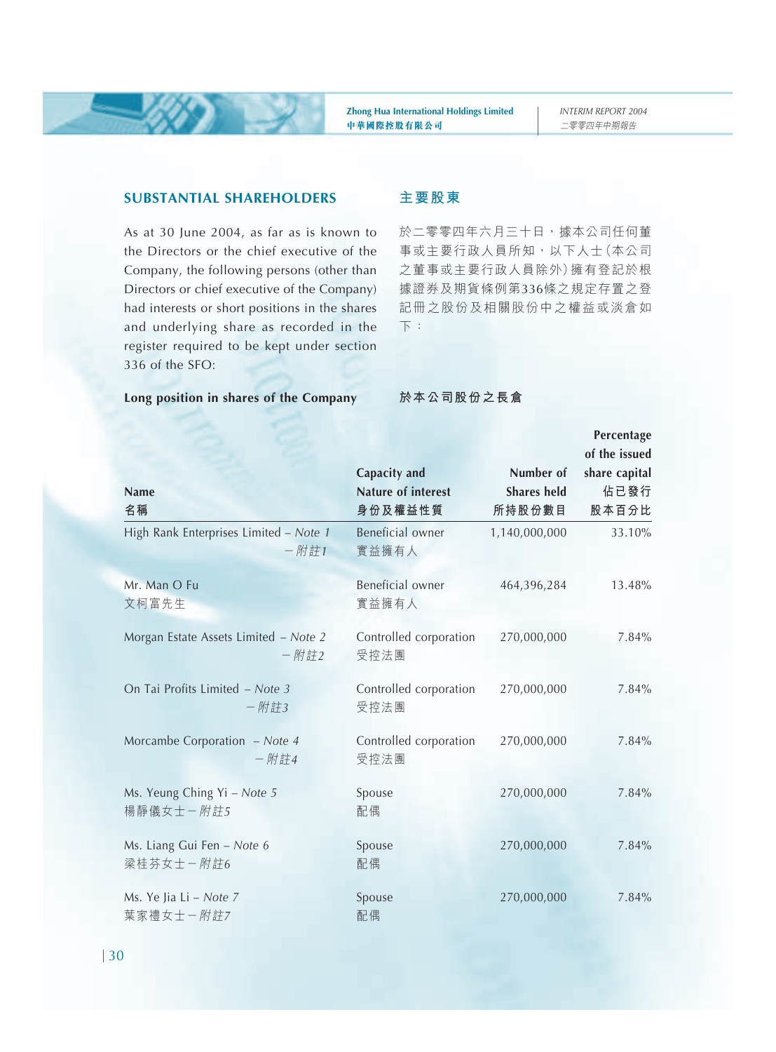#### **SUBSTANTIAL SHAREHOLDERS**

As at 30 June 2004, as far as is known to the Directors or the chief executive of the Company, the following persons (other than Directors or chief executive of the Company) had interests or short positions in the shares and underlying share as recorded in the register required to be kept under section 336 of the SFO:

#### **主要股東**

於二零零四年六月三十日,據本公司任何董 事或主要行政人員所知,以下人士(本公司 之董事或主要行政人員除外)擁有登記於根 據證券及期貨條例第336條之規定存置之登 記冊之股份及相關股份中之權益或淡倉如 下:

#### **Long position in shares of the Company**

#### **於本公司股份之長倉**

|                                                   |                                |                    | Percentage    |
|---------------------------------------------------|--------------------------------|--------------------|---------------|
|                                                   |                                |                    | of the issued |
|                                                   | Capacity and                   | Number of          | share capital |
| <b>Name</b>                                       | <b>Nature of interest</b>      | <b>Shares held</b> | 佔已發行          |
| 名稱                                                | 身份及權益性質                        | 所持股份數目             | 股本百分比         |
| High Rank Enterprises Limited - Note 1<br>$-$ 附註1 | Beneficial owner<br>實益擁有人      | 1,140,000,000      | 33.10%        |
| Mr. Man O Fu                                      | Beneficial owner               | 464,396,284        | 13.48%        |
| 文柯富先生                                             | 實益擁有人                          |                    |               |
| Morgan Estate Assets Limited - Note 2<br>$-$ 附註2  | Controlled corporation<br>受控法團 | 270,000,000        | 7.84%         |
| On Tai Profits Limited - Note 3<br>$-$ 附註3        | Controlled corporation<br>受控法團 | 270,000,000        | 7.84%         |
| Morcambe Corporation - Note 4<br>$-$ 附註4          | Controlled corporation<br>受控法團 | 270,000,000        | 7.84%         |
| Ms. Yeung Ching Yi - Note 5<br>楊靜儀女士-附註5          | Spouse<br>配偶                   | 270,000,000        | 7.84%         |
| Ms. Liang Gui Fen - Note 6<br>梁桂芬女士-附註6           | Spouse<br>配偶                   | 270,000,000        | 7.84%         |
| Ms. Ye Jia Li - Note 7<br>葉家禮女士-附註7               | Spouse<br>配偶                   | 270,000,000        | 7.84%         |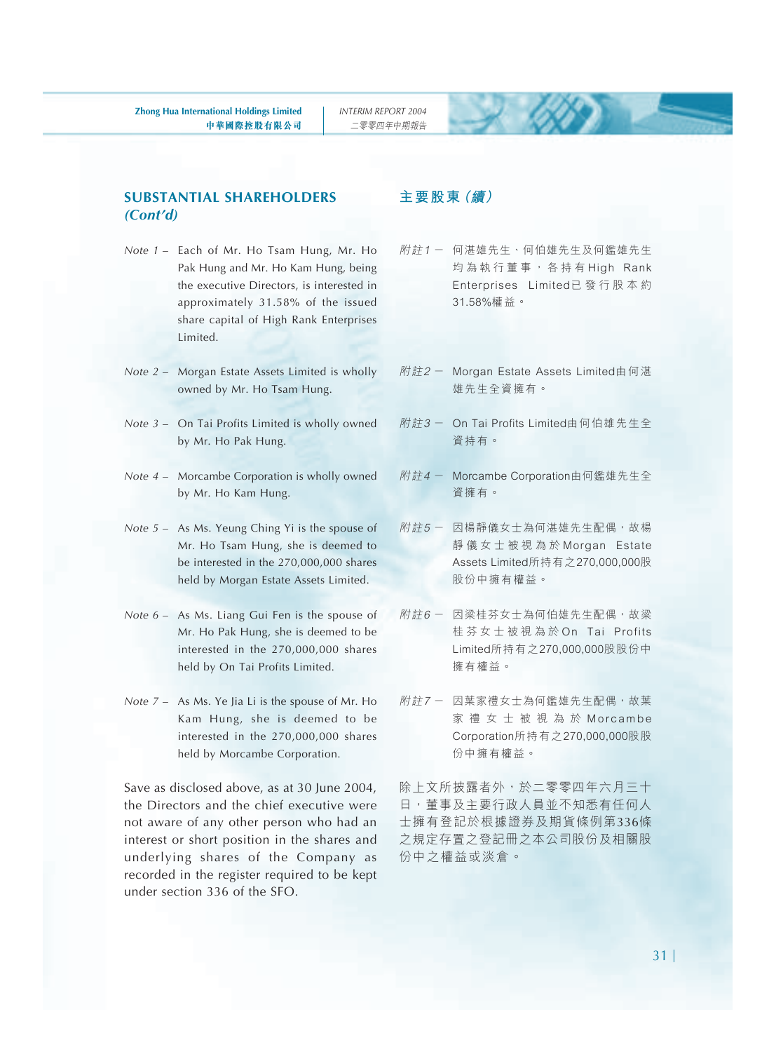#### **SUBSTANTIAL SHAREHOLDERS** *(Cont'd)*

- *Note 1* Each of Mr. Ho Tsam Hung, Mr. Ho Pak Hung and Mr. Ho Kam Hung, being the executive Directors, is interested in approximately 31.58% of the issued share capital of High Rank Enterprises Limited.
- *Note 2* Morgan Estate Assets Limited is wholly owned by Mr. Ho Tsam Hung.
- *Note 3* On Tai Profits Limited is wholly owned by Mr. Ho Pak Hung.
- *Note 4*  Morcambe Corporation is wholly owned by Mr. Ho Kam Hung.
- *Note 5* As Ms. Yeung Ching Yi is the spouse of Mr. Ho Tsam Hung, she is deemed to be interested in the 270,000,000 shares held by Morgan Estate Assets Limited.
- *Note 6* As Ms. Liang Gui Fen is the spouse of Mr. Ho Pak Hung, she is deemed to be interested in the 270,000,000 shares held by On Tai Profits Limited.
- *Note 7* As Ms. Ye Jia Li is the spouse of Mr. Ho Kam Hung, she is deemed to be interested in the 270,000,000 shares held by Morcambe Corporation.

Save as disclosed above, as at 30 June 2004, the Directors and the chief executive were not aware of any other person who had an interest or short position in the shares and underlying shares of the Company as recorded in the register required to be kept under section 336 of the SFO.

#### **主要股東(續)**

- 附註1 何湛雄先生、何伯雄先生及何鑑雄先生 均為執行董事,各持有 High Rank Enterprises Limited已發行股本約 31.58%權益。
- 附註2 Morgan Estate Assets Limited由何湛 雄先生全資擁有。
- 附註3 On Tai Profits Limited由何伯雄先生全 資持有。
- 附註4 Morcambe Corporation由何鑑雄先生全 資擁有。
- 附註5 因楊靜儀女士為何湛雄先生配偶,故楊 靜儀女士被視為於 Morgan Estate Assets Limited所持有之270,000,000股 股份中擁有權益。
- 附註6- 因梁桂芬女十為何伯雄先生配偶,故梁 桂芬女士被視為於 On Tai Profits Limited所持有之270,000,000股股份中 擁有權益。
- 附註7 因葉家禮女士為何鑑雄先生配偶,故葉 家禮女士被視為於 Morcambe Corporation所持有之270,000,000股股 份中擁有權益。

除上文所披露者外,於二零零四年六月三十 日,董事及主要行政人員並不知悉有任何人 士擁有登記於根據證券及期貨條例第336條 之規定存置之登記冊之本公司股份及相關股 份中之權益或淡倉。